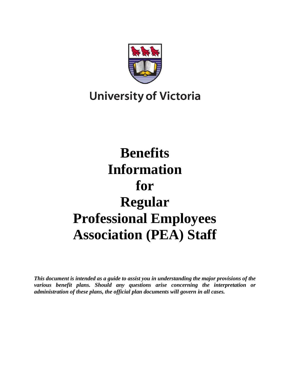

## **University of Victoria**

# **Benefits Information for Regular Professional Employees Association (PEA) Staff**

*This document is intended as a guide to assist you in understanding the major provisions of the various benefit plans. Should any questions arise concerning the interpretation or administration of these plans, the official plan documents will govern in all cases.*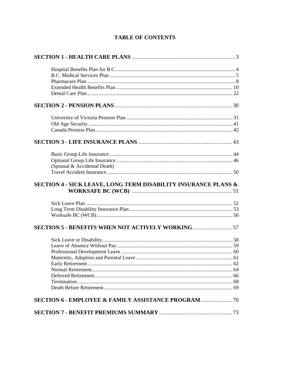|  |  |  | <b>TABLE OF CONTENTS</b> |
|--|--|--|--------------------------|
|--|--|--|--------------------------|

| (Spousal & Accidental Death)                                   |  |
|----------------------------------------------------------------|--|
|                                                                |  |
|                                                                |  |
| SECTION 4 - SICK LEAVE, LONG TERM DISABILITY INSURANCE PLANS & |  |
|                                                                |  |
|                                                                |  |
|                                                                |  |
|                                                                |  |
| <b>SECTION 5 - BENEFITS WHEN NOT ACTIVELY WORKING57</b>        |  |
|                                                                |  |
|                                                                |  |
|                                                                |  |
|                                                                |  |
|                                                                |  |
|                                                                |  |
|                                                                |  |
|                                                                |  |
|                                                                |  |
| <b>SECTION 6 - EMPLOYEE &amp; FAMILY ASSISTANCE PROGRAM 70</b> |  |
|                                                                |  |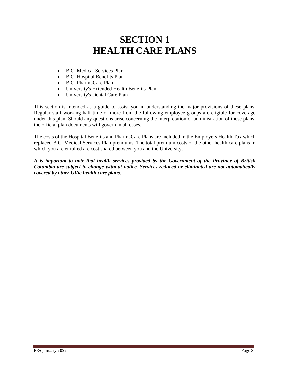## **SECTION 1 HEALTH CARE PLANS**

- B.C. Medical Services Plan
- B.C. Hospital Benefits Plan
- B.C. PharmaCare Plan
- University's Extended Health Benefits Plan
- University's Dental Care Plan

This section is intended as a guide to assist you in understanding the major provisions of these plans. Regular staff working half time or more from the following employee groups are eligible for coverage under this plan. Should any questions arise concerning the interpretation or administration of these plans, the official plan documents will govern in all cases.

The costs of the Hospital Benefits and PharmaCare Plans are included in the Employers Health Tax which replaced B.C. Medical Services Plan premiums. The total premium costs of the other health care plans in which you are enrolled are cost shared between you and the University.

*It is important to note that health services provided by the Government of the Province of British Columbia are subject to change without notice. Services reduced or eliminated are not automatically covered by other UVic health care plans*.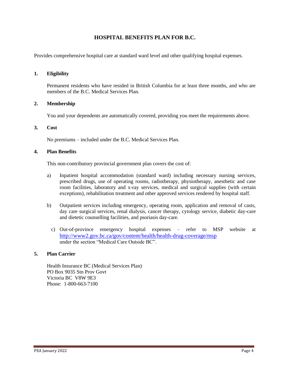## **HOSPITAL BENEFITS PLAN FOR B.C.**

Provides comprehensive hospital care at standard ward level and other qualifying hospital expenses.

#### **1. Eligibility**

Permanent residents who have resided in British Columbia for at least three months, and who are members of the B.C. Medical Services Plan.

#### **2. Membership**

You and your dependents are automatically covered, providing you meet the requirements above.

#### **3. Cost**

No premiums – included under the B.C. Medical Services Plan.

#### **4. Plan Benefits**

This non-contributory provincial government plan covers the cost of:

- a) Inpatient hospital accommodation (standard ward) including necessary nursing services, prescribed drugs, use of operating rooms, radiotherapy, physiotherapy, anesthetic and case room facilities, laboratory and x-ray services, medical and surgical supplies (with certain exceptions), rehabilitation treatment and other approved services rendered by hospital staff.
- b) Outpatient services including emergency, operating room, application and removal of casts, day care surgical services, renal dialysis, cancer therapy, cytology service, diabetic day-care and dietetic counselling facilities, and psoriasis day-care.
	- c) Out-of-province emergency hospital expenses refer to MSP website at <http://www2.gov.bc.ca/gov/content/health/health-drug-coverage/msp> under the section "Medical Care Outside BC".

#### **5. Plan Carrier**

Health Insurance BC (Medical Services Plan) PO Box 9035 Stn Prov Govt Victoria BC V8W 9E3 Phone: 1-800-663-7100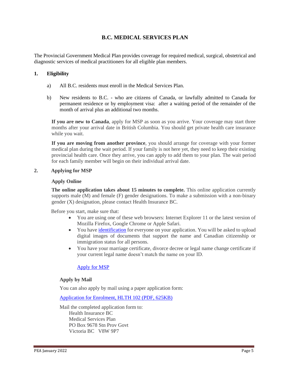## **B.C. MEDICAL SERVICES PLAN**

The Provincial Government Medical Plan provides coverage for required medical, surgical, obstetrical and diagnostic services of medical practitioners for all eligible plan members.

## **1. Eligibility**

- a) All B.C. residents must enroll in the Medical Services Plan.
- b) New residents to B.C. who are citizens of Canada, or lawfully admitted to Canada for permanent residence or by employment visa: after a waiting period of the remainder of the month of arrival plus an additional two months.

**If you are new to Canada**, apply for MSP as soon as you arrive. Your coverage may start three months after your arrival date in British Columbia. You should get private health care insurance while you wait.

**If you are moving from another province**, you should arrange for coverage with your former medical plan during the wait period. If your family is not here yet, they need to keep their existing provincial health care. Once they arrive, you can apply to add them to your plan. The wait period for each family member will begin on their individual arrival date.

#### **2. Applying for MSP**

#### **Apply Online**

**The online application takes about 15 minutes to complete.** This online application currently supports male (M) and female (F) gender designations. To make a submission with a non-binary gender (X) designation, please contact Health Insurance BC.

Before you start, make sure that:

- You are using one of these web browsers: Internet Explorer 11 or the latest version of Mozilla Firefox, Google Chrome or Apple Safari.
- You hav[e identification](https://www2.gov.bc.ca/gov/content/health/health-drug-coverage/msp/bc-residents/eligibility-and-enrolment/how-to-enrol/id-requirements) for everyone on your application. You will be asked to upload digital images of documents that support the name and Canadian citizenship or immigration status for all persons.
- You have your marriage certificate, divorce decree or legal name change certificate if your current legal name doesn't match the name on your ID.

## [Apply for MSP](https://my.gov.bc.ca/msp/application)

## **Apply by Mail**

You can also apply by mail using a paper application form:

[Application for Enrolment, HLTH 102 \(PDF, 625KB\)](http://www2.gov.bc.ca/assets/gov/health/forms/102fil.pdf)

Mail the completed application form to: Health Insurance BC Medical Services Plan PO Box 9678 Stn Prov Govt Victoria BC V8W 9P7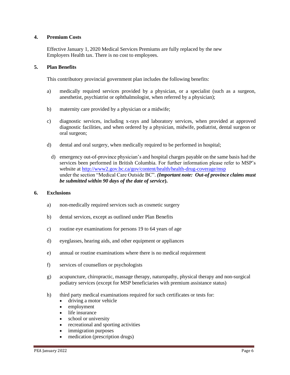## **4. Premium Costs**

Effective January 1, 2020 Medical Services Premiums are fully replaced by the new Employers Health tax. There is no cost to employees.

## **5. Plan Benefits**

This contributory provincial government plan includes the following benefits:

- a) medically required services provided by a physician, or a specialist (such as a surgeon, anesthetist, psychiatrist or ophthalmologist, when referred by a physician);
- b) maternity care provided by a physician or a midwife;
- c) diagnostic services, including x-rays and laboratory services, when provided at approved diagnostic facilities, and when ordered by a physician, midwife, podiatrist, dental surgeon or oral surgeon;
- d) dental and oral surgery, when medically required to be performed in hospital;
	- d) emergency out-of-province physician's and hospital charges payable on the same basis had the services been performed in British Columbia. For further information please refer to MSP's website at<http://www2.gov.bc.ca/gov/content/health/health-drug-coverage/msp> under the section "Medical Care Outside BC". *(Important note: Out-of province claims must be submitted within 90 days of the date of service***).**

## **6. Exclusions**

- a) non-medically required services such as cosmetic surgery
- b) dental services, except as outlined under Plan Benefits
- c) routine eye examinations for persons 19 to 64 years of age
- d) eyeglasses, hearing aids, and other equipment or appliances
- e) annual or routine examinations where there is no medical requirement
- f) services of counsellors or psychologists
- g) acupuncture, chiropractic, massage therapy, naturopathy, physical therapy and non-surgical podiatry services (except for MSP beneficiaries with premium assistance status)
- h) third party medical examinations required for such certificates or tests for:
	- driving a motor vehicle
	- employment
	- life insurance
	- school or university
	- recreational and sporting activities
	- immigration purposes
	- medication (prescription drugs)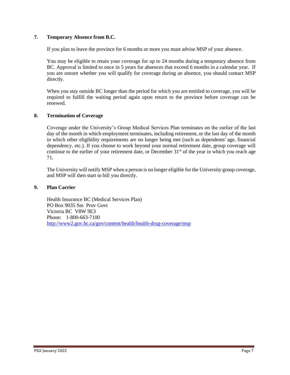## **7. Temporary Absence from B.C.**

If you plan to leave the province for 6 months or more you must advise MSP of your absence.

You may be eligible to retain your coverage for up to 24 months during a temporary absence from BC. Approval is limited to once in 5 years for absences that exceed 6 months in a calendar year. If you are unsure whether you will qualify for coverage during an absence, you should contact MSP directly.

When you stay outside BC longer than the period for which you are entitled to coverage, you will be required to fulfill the waiting period again upon return to the province before coverage can be renewed.

## **8. Termination of Coverage**

Coverage under the University's Group Medical Services Plan terminates on the earlier of the last day of the month in which employment terminates, including retirement, or the last day of the month in which other eligibility requirements are no longer being met (such as dependents' age, financial dependency, etc.). If you choose to work beyond your normal retirement date, group coverage will continue to the earlier of your retirement date, or December  $31<sup>st</sup>$  of the year in which you reach age 71.

The University will notify MSP when a person is no longer eligible for the University group coverage, and MSP will then start to bill you directly.

## **9. Plan Carrier**

Health Insurance BC (Medical Services Plan) PO Box 9035 Stn Prov Govt Victoria BC V8W 9E3 Phone: 1-800-663-7100 <http://www2.gov.bc.ca/gov/content/health/health-drug-coverage/msp>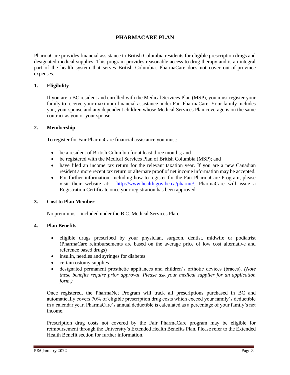## **PHARMACARE PLAN**

PharmaCare provides financial assistance to British Columbia residents for eligible prescription drugs and designated medical supplies. This program provides reasonable access to drug therapy and is an integral part of the health system that serves British Columbia. PharmaCare does not cover out-of-province expenses.

## **1. Eligibility**

If you are a BC resident and enrolled with the Medical Services Plan (MSP), you must register your family to receive your maximum financial assistance under Fair PharmaCare. Your family includes you, your spouse and any dependent children whose Medical Services Plan coverage is on the same contract as you or your spouse.

## **2. Membership**

To register for Fair PharmaCare financial assistance you must:

- be a resident of British Columbia for at least three months; and
- be registered with the Medical Services Plan of British Columbia (MSP); and
- have filed an income tax return for the relevant taxation year. If you are a new Canadian resident a more recent tax return or alternate proof of net income information may be accepted.
- For further information, including how to register for the Fair PharmaCare Program, please visit their website at: [http://www.health.gov.bc.ca/pharme/.](http://www.health.gov.bc.ca/pharme/) PharmaCare will issue a Registration Certificate once your registration has been approved.

## **3. Cost to Plan Member**

No premiums – included under the B.C. Medical Services Plan.

## **4. Plan Benefits**

- eligible drugs prescribed by your physician, surgeon, dentist, midwife or podiatrist (PharmaCare reimbursements are based on the average price of low cost alternative and reference based drugs)
- insulin, needles and syringes for diabetes
- certain ostomy supplies
- designated permanent prosthetic appliances and children's orthotic devices (braces). *(Note these benefits require prior approval. Please ask your medical supplier for an application form.)*

Once registered, the PharmaNet Program will track all prescriptions purchased in BC and automatically covers 70% of eligible prescription drug costs which exceed your family's deductible in a calendar year. PharmaCare's annual deductible is calculated as a percentage of your family's net income.

Prescription drug costs not covered by the Fair PharmaCare program may be eligible for reimbursement through the University's Extended Health Benefits Plan. Please refer to the Extended Health Benefit section for further information.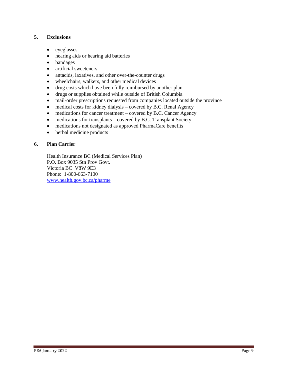## **5. Exclusions**

- eyeglasses
- hearing aids or hearing aid batteries
- bandages
- artificial sweeteners
- antacids, laxatives, and other over-the-counter drugs
- wheelchairs, walkers, and other medical devices
- drug costs which have been fully reimbursed by another plan
- drugs or supplies obtained while outside of British Columbia
- mail-order prescriptions requested from companies located outside the province
- medical costs for kidney dialysis covered by B.C. Renal Agency
- medications for cancer treatment covered by B.C. Cancer Agency
- medications for transplants covered by B.C. Transplant Society
- medications not designated as approved PharmaCare benefits
- herbal medicine products

## **6. Plan Carrier**

Health Insurance BC (Medical Services Plan) P.O. Box 9035 Stn Prov Govt. Victoria BC V8W 9E3 Phone: 1-800-663-7100 [www.health.gov.bc.ca/pharme](http://www.health.gov.bc.ca/pharme)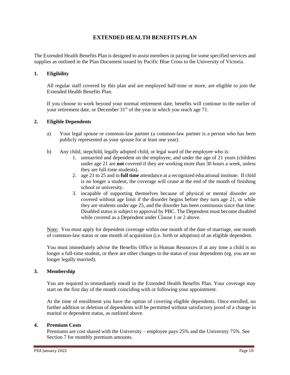## **EXTENDED HEALTH BENEFITS PLAN**

The Extended Health Benefits Plan is designed to assist members in paying for some specified services and supplies as outlined in the Plan Document issued by Pacific Blue Cross to the University of Victoria.

## **1. Eligibility**

All regular staff covered by this plan and are employed half-time or more, are eligible to join the Extended Health Benefits Plan.

If you choose to work beyond your normal retirement date, benefits will continue to the earlier of your retirement date, or December 31<sup>st</sup> of the year in which you reach age 71.

## **2. Eligible Dependents**

- a) Your legal spouse or common-law partner (a common-law partner is a person who has been publicly represented as your spouse for at least one year).
- b) Any child, stepchild, legally adopted child, or legal ward of the employee who is:
	- 1. unmarried and dependent on the employee, and under the age of 21 years (children under age 21 are **not** covered if they are working more than 30 hours a week, unless they are full-time students).
	- 2. age 21 to 25 and in **full time** attendance at a recognized educational institute. If child is no longer a student, the coverage will cease at the end of the month of finishing school or university.
	- 3. incapable of supporting themselves because of physical or mental disorder are covered without age limit if the disorder begins before they turn age 21, or while they are students under age 25, and the disorder has been continuous since that time. Disabled status is subject to approval by PBC. The Dependent must become disabled while covered as a Dependent under Clause 1 or 2 above.

Note: You must apply for dependent coverage within one month of the date of marriage, one month of common-law status or one month of acquisition (i.e. birth or adoption) of an eligible dependent.

You must immediately advise the Benefits Office in Human Resources if at any time a child is no longer a full-time student, or there are other changes to the status of your dependents (eg. you are no longer legally married).

## **3. Membership**

You are required to immediately enroll in the Extended Health Benefits Plan. Your coverage may start on the first day of the month coinciding with or following your appointment.

At the time of enrollment you have the option of covering eligible dependents. Once enrolled, no further addition or deletion of dependents will be permitted without satisfactory proof of a change in marital or dependent status, as outlined above.

## **4. Premium Costs**

Premiums are cost shared with the University – employee pays 25% and the University 75%. See Section 7 for monthly premium amounts.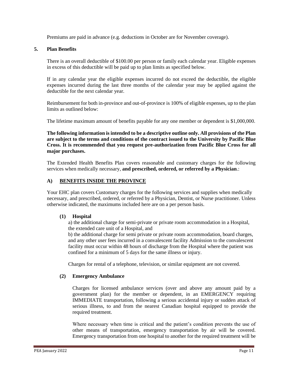Premiums are paid in advance (e.g. deductions in October are for November coverage).

#### **5. Plan Benefits**

There is an overall deductible of \$100.00 per person or family each calendar year. Eligible expenses in excess of this deductible will be paid up to plan limits as specified below.

If in any calendar year the eligible expenses incurred do not exceed the deductible, the eligible expenses incurred during the last three months of the calendar year may be applied against the deductible for the next calendar year.

Reimbursement for both in-province and out-of-province is 100% of eligible expenses, up to the plan limits as outlined below:

The lifetime maximum amount of benefits payable for any one member or dependent is \$1,000,000.

**The following information is intended to be a descriptive outline only. All provisions of the Plan are subject to the terms and conditions of the contract issued to the University by Pacific Blue Cross. It is recommended that you request pre-authorization from Pacific Blue Cross for all major purchases.**

The Extended Health Benefits Plan covers reasonable and customary charges for the following services when medically necessary, and prescribed, ordered, or referred by a Physician.:

## **A) BENEFITS INSIDE THE PROVINCE**

Your EHC plan covers Customary charges for the following services and supplies when medically necessary, and prescribed, ordered, or referred by a Physician, Dentist, or Nurse practitioner. Unless otherwise indicated, the maximums included here are on a per person basis.

## **(1) Hospital**

a) the additional charge for semi-private or private room accommodation in a Hospital, the extended care unit of a Hospital, and

b) the additional charge for semi private or private room accommodation, board charges, and any other user fees incurred in a convalescent facility Admission to the convalescent facility must occur within 48 hours of discharge from the Hospital where the patient was confined for a minimum of 5 days for the same illness or injury.

Charges for rental of a telephone, television, or similar equipment are not covered.

## **(2) Emergency Ambulance**

Charges for licensed ambulance services (over and above any amount paid by a government plan) for the member or dependent, in an EMERGENCY requiring IMMEDIATE transportation, following a serious accidental injury or sudden attack of serious illness, to and from the nearest Canadian hospital equipped to provide the required treatment.

Where necessary when time is critical and the patient's condition prevents the use of other means of transportation, emergency transportation by air will be covered. Emergency transportation from one hospital to another for the required treatment will be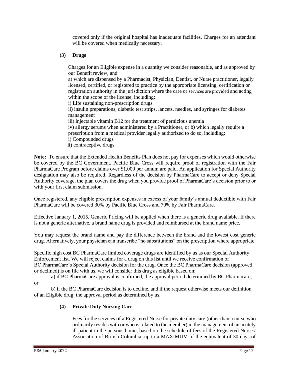covered only if the original hospital has inadequate facilities. Charges for an attendant will be covered when medically necessary.

## **(3) Drugs**

Charges for an Eligible expense in a quantity we consider reasonable, and as approved by our Benefit review, and

a) which are dispensed by a Pharmacist, Physician, Dentist, or Nurse practitioner, legally licensed, certified, or registered to practice by the appropriate licensing, certification or registration authority in the jurisdiction where the care or services are provided and acting within the scope of the license, including:

i) Life sustaining non-prescription drugs

ii) insulin preparations, diabetic test strips, lancets, needles, and syringes for diabetes management

iii) injectable vitamin B12 for the treatment of pernicious anemia

iv) allergy serums when administered by a Practitioner, or b) which legally require a

prescription from a medical provider legally authorized to do so, including:

- i) Compounded drugs
- ii) contraceptive drugs.

**Note:** To ensure that the Extended Health Benefits Plan does not pay for expenses which would otherwise be covered by the BC Government, Pacific Blue Cross will require proof of registration with the Fair PharmaCare Program before claims over \$1,000 per annum are paid. An application for Special Authority designation may also be required. Regardless of the decision by PharmaCare to accept or deny Special Authority coverage, the plan covers the drug when you provide proof of PharmaCare's decision prior to or with your first claim submission.

Once registered, any eligible prescription expenses in excess of your family's annual deductible with Fair PharmaCare will be covered 30% by Pacific Blue Cross and 70% by Fair PharmaCare.

Effective January 1, 2015, Generic Pricing will be applied when there is a generic drug available. If there is not a generic alternative, a brand name drug is provided and reimbursed at the brand name price.

You may request the brand name and pay the difference between the brand and the lowest cost generic drug. Alternatively, your physician can transcribe "no substitutions" on the prescription where appropriate.

Specific high cost BC PharmaCare limited coverage drugs are identified by us as our Special Authority Enforcement list. We will reject claims for a drug on this list until we receive confirmation of BC PharmaCare's Special Authority decision for the drug. Once the BC PharmaCare decision (approved or declined) is on file with us, we will consider this drug as eligible based on:

a) if BC PharmaCare approval is confirmed, the approval period determined by BC Pharmacare,

or

b) if the BC PharmaCare decision is to decline, and if the request otherwise meets our definition of an Eligible drug, the approval period as determined by us.

## **(4) Private Duty Nursing Care**

Fees for the services of a Registered Nurse for private duty care (other than a nurse who ordinarily resides with or who is related to the member) in the management of an acutely ill patient in the persons home, based on the schedule of fees of the Registered Nurses' Association of British Columbia, up to a MAXIMUM of the equivalent of 30 days of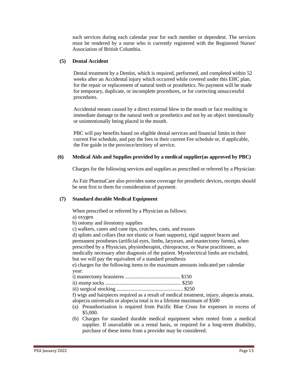such services during each calendar year for each member or dependent. The services must be rendered by a nurse who is currently registered with the Registered Nurses' Association of British Columbia.

## **(5) Dental Accident**

Dental treatment by a Dentist, which is required, performed, and completed within 52 weeks after an Accidental injury which occurred while covered under this EHC plan, for the repair or replacement of natural teeth or prosthetics. No payment will be made for temporary, duplicate, or incomplete procedures, or for correcting unsuccessful procedures.

Accidental means caused by a direct external blow to the mouth or face resulting in immediate damage to the natural teeth or prosthetics and not by an object intentionally or unintentionally being placed in the mouth.

PBC will pay benefits based on eligible dental services and financial limits in their current Fee schedule, and pay the fees in their current Fee schedule or, if applicable, the Fee guide in the province/territory of service.

## **(6) Medical Aids and Supplies provided by a medical supplier(as approved by PBC)**

Charges for the following services and supplies as prescribed or referred by a Physician:

As Fair PharmaCare also provides some coverage for prosthetic devices, receipts should be sent first to them for consideration of payment.

## **(7) Standard durable Medical Equipment**

When prescribed or referred by a Physician as follows:

a) oxygen

- b) ostomy and ileostomy supplies
- c) walkers, canes and cane tips, crutches, casts, and trusses

d) splints and collars (but not elastic or foam supports), rigid support braces and permanent prostheses (artificial eyes, limbs, larynxes, and mastectomy forms), when prescribed by a Physician, physiotherapist, chiropractor, or Nurse practitioner, as medically necessary after diagnosis of the patient. Myoelectrical limbs are excluded, but we will pay the equivalent of a standard prosthesis

e) charges for the following items to the maximum amounts indicated per calendar year:

iii) surgical stocking ................................................... \$250

f) wigs and hairpieces required as a result of medical treatment, injury, alopecia areata, alopecia universalis or alopecia total is to a lifetime maximum of \$500

- (a) Preauthorization is required from Pacific Blue Cross for expenses in excess of \$5,000.
- (b) Charges for standard durable medical equipment when rented from a medical supplier. If unavailable on a rental basis, or required for a long-term disability, purchase of these items from a provider may be considered.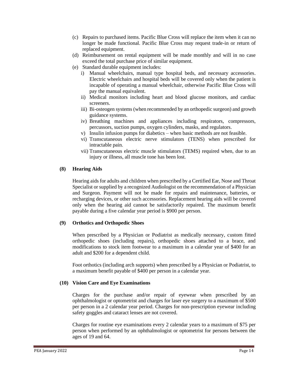- (c) Repairs to purchased items. Pacific Blue Cross will replace the item when it can no longer be made functional. Pacific Blue Cross may request trade-in or return of replaced equipment.
- (d) Reimbursement on rental equipment will be made monthly and will in no case exceed the total purchase price of similar equipment.
- (e) Standard durable equipment includes:
	- i) Manual wheelchairs, manual type hospital beds, and necessary accessories. Electric wheelchairs and hospital beds will be covered only when the patient is incapable of operating a manual wheelchair, otherwise Pacific Blue Cross will pay the manual equivalent.
	- ii) Medical monitors including heart and blood glucose monitors, and cardiac screeners.
	- iii) Bi-osteogen systems (when recommended by an orthopedic surgeon) and growth guidance systems.
	- iv) Breathing machines and appliances including respirators, compressors, percussors, suction pumps, oxygen cylinders, masks, and regulators.
	- v) Insulin infusion pumps for diabetics when basic methods are not feasible.
	- vi) Transcutaneous electric nerve stimulators (TENS) when prescribed for intractable pain.
	- vii) Transcutaneous electric muscle stimulators (TEMS) required when, due to an injury or illness, all muscle tone has been lost.

#### **(8) Hearing Aids**

Hearing aids for adults and children when prescribed by a Certified Ear, Nose and Throat Specialist or supplied by a recognized Audiologist on the recommendation of a Physician and Surgeon. Payment will not be made for repairs and maintenance, batteries, or recharging devices, or other such accessories. Replacement hearing aids will be covered only when the hearing aid cannot be satisfactorily repaired. The maximum benefit payable during a five calendar year period is \$900 per person.

#### **(9) Orthotics and Orthopedic Shoes**

When prescribed by a Physician or Podiatrist as medically necessary, custom fitted orthopedic shoes (including repairs), orthopedic shoes attached to a brace, and modifications to stock item footwear to a maximum in a calendar year of \$400 for an adult and \$200 for a dependent child.

Foot orthotics (including arch supports) when prescribed by a Physician or Podiatrist, to a maximum benefit payable of \$400 per person in a calendar year.

#### **(10) Vision Care and Eye Examinations**

Charges for the purchase and/or repair of eyewear when prescribed by an ophthalmologist or optometrist and charges for laser eye surgery to a maximum of \$500 per person in a 2 calendar year period. Charges for non-prescription eyewear including safety goggles and cataract lenses are not covered.

Charges for routine eye examinations every 2 calendar years to a maximum of \$75 per person when performed by an ophthalmologist or optometrist for persons between the ages of 19 and 64.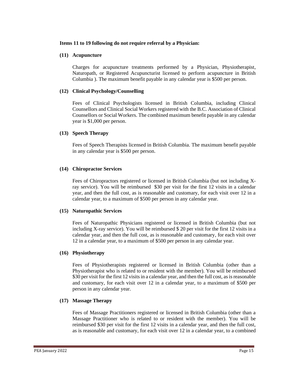## **Items 11 to 19 following do not require referral by a Physician:**

## **(11) Acupuncture**

Charges for acupuncture treatments performed by a Physician, Physiotherapist, Naturopath, or Registered Acupuncturist licensed to perform acupuncture in British Columbia ). The maximum benefit payable in any calendar year is \$500 per person.

## **(12) Clinical Psychology/Counselling**

Fees of Clinical Psychologists licensed in British Columbia, including Clinical Counsellors and Clinical Social Workers registered with the B.C. Association of Clinical Counsellors or Social Workers. The combined maximum benefit payable in any calendar year is \$1,000 per person.

## **(13) Speech Therapy**

Fees of Speech Therapists licensed in British Columbia. The maximum benefit payable in any calendar year is \$500 per person.

## **(14) Chiropractor Services**

Fees of Chiropractors registered or licensed in British Columbia (but not including Xray service). You will be reimbursed \$30 per visit for the first 12 visits in a calendar year, and then the full cost, as is reasonable and customary, for each visit over 12 in a calendar year, to a maximum of \$500 per person in any calendar year.

## **(15) Naturopathic Services**

Fees of Naturopathic Physicians registered or licensed in British Columbia (but not including X-ray service). You will be reimbursed  $$20$  per visit for the first 12 visits in a calendar year, and then the full cost, as is reasonable and customary, for each visit over 12 in a calendar year, to a maximum of \$500 per person in any calendar year.

## **(16) Physiotherapy**

Fees of Physiotherapists registered or licensed in British Columbia (other than a Physiotherapist who is related to or resident with the member). You will be reimbursed \$30 per visit for the first 12 visits in a calendar year, and then the full cost, as is reasonable and customary, for each visit over 12 in a calendar year, to a maximum of \$500 per person in any calendar year.

## **(17) Massage Therapy**

Fees of Massage Practitioners registered or licensed in British Columbia (other than a Massage Practitioner who is related to or resident with the member). You will be reimbursed \$30 per visit for the first 12 visits in a calendar year, and then the full cost, as is reasonable and customary, for each visit over 12 in a calendar year, to a combined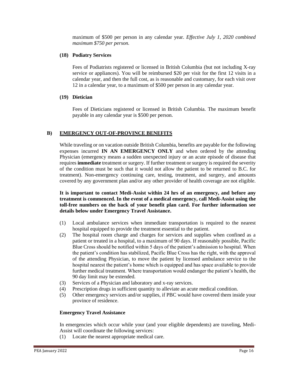maximum of \$500 per person in any calendar year. *Effective July 1, 2020 combined maximum \$750 per person.*

## **(18) Podiatry Services**

Fees of Podiatrists registered or licensed in British Columbia (but not including X-ray service or appliances). You will be reimbursed \$20 per visit for the first 12 visits in a calendar year, and then the full cost, as is reasonable and customary, for each visit over 12 in a calendar year, to a maximum of \$500 per person in any calendar year.

#### **(19) Dietician**

Fees of Dieticians registered or licensed in British Columbia. The maximum benefit payable in any calendar year is \$500 per person.

## **B) EMERGENCY OUT-OF-PROVINCE BENEFITS**

While traveling or on vacation outside British Columbia, benefits are payable for the following expenses incurred **IN AN EMERGENCY ONLY** and when ordered by the attending Physician (emergency means a sudden unexpected injury or an acute episode of disease that requires **immediate** treatment or surgery. If further treatment or surgery is required the severity of the condition must be such that it would not allow the patient to be returned to B.C. for treatment). Non-emergency continuing care, testing, treatment, and surgery, and amounts covered by any government plan and/or any other provider of health coverage are not eligible.

**It is important to contact Medi-Assist within 24 hrs of an emergency, and before any treatment is commenced. In the event of a medical emergency, call Medi-Assist using the toll-free numbers on the back of your benefit plan card. For further information see details below under Emergency Travel Assistance.**

- (1) Local ambulance services when immediate transportation is required to the nearest hospital equipped to provide the treatment essential to the patient.
- (2) The hospital room charge and charges for services and supplies when confined as a patient or treated in a hospital, to a maximum of 90 days. If reasonably possible, Pacific Blue Cross should be notified within 5 days of the patient's admission to hospital. When the patient's condition has stabilized, Pacific Blue Cross has the right, with the approval of the attending Physician, to move the patient by licensed ambulance service to the hospital nearest the patient's home which is equipped and has space available to provide further medical treatment. Where transportation would endanger the patient's health, the 90 day limit may be extended.
- (3) Services of a Physician and laboratory and x-ray services.
- (4) Prescription drugs in sufficient quantity to alleviate an acute medical condition.
- (5) Other emergency services and/or supplies, if PBC would have covered them inside your province of residence.

## **Emergency Travel Assistance**

In emergencies which occur while your (and your eligible dependents) are traveling, Medi-Assist will coordinate the following services:

(1) Locate the nearest appropriate medical care.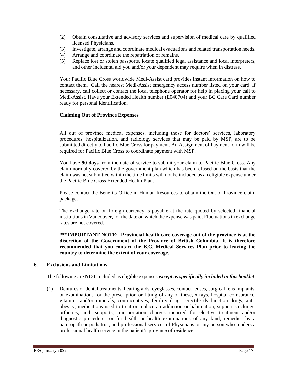- (2) Obtain consultative and advisory services and supervision of medical care by qualified licensed Physicians.
- (3) Investigate, arrange and coordinate medical evacuations and related transportation needs.
- (4) Arrange and coordinate the repatriation of remains.
- (5) Replace lost or stolen passports, locate qualified legal assistance and local interpreters, and other incidental aid you and/or your dependent may require when in distress.

Your Pacific Blue Cross worldwide Medi-Assist card provides instant information on how to contact them. Call the nearest Medi-Assist emergency access number listed on your card. If necessary, call collect or contact the local telephone operator for help in placing your call to Medi-Assist. Have your Extended Health number (E040704) and your BC Care Card number ready for personal identification.

## **Claiming Out of Province Expenses**

All out of province medical expenses, including those for doctors' services, laboratory procedures, hospitalization, and radiology services that may be paid by MSP, are to be submitted directly to Pacific Blue Cross for payment. An Assignment of Payment form will be required for Pacific Blue Cross to coordinate payment with MSP.

You have **90 days** from the date of service to submit your claim to Pacific Blue Cross. Any claim normally covered by the government plan which has been refused on the basis that the claim was not submitted within the time limits will not be included as an eligible expense under the Pacific Blue Cross Extended Health Plan.

Please contact the Benefits Office in Human Resources to obtain the Out of Province claim package.

The exchange rate on foreign currency is payable at the rate quoted by selected financial institutions in Vancouver, for the date on which the expense was paid. Fluctuations in exchange rates are not covered.

**\*\*\*IMPORTANT NOTE: Provincial health care coverage out of the province is at the discretion of the Government of the Province of British Columbia. It is therefore recommended that you contact the B.C. Medical Services Plan prior to leaving the country to determine the extent of your coverage.**

#### **6. Exclusions and Limitations**

The following are **NOT** included as eligible expenses *except as specifically included in this booklet*:

(1) Dentures or dental treatments, hearing aids, eyeglasses, contact lenses, surgical lens implants, or examinations for the prescription or fitting of any of these, x-rays, hospital coinsurance, vitamins and/or minerals, contraceptives, fertility drugs, erectile dysfunction drugs, antiobesity, medications used to treat or replace an addiction or habituation, support stockings, orthotics, arch supports, transportation charges incurred for elective treatment and/or diagnostic procedures or for health or health examinations of any kind, remedies by a naturopath or podiatrist, and professional services of Physicians or any person who renders a professional health service in the patient's province of residence.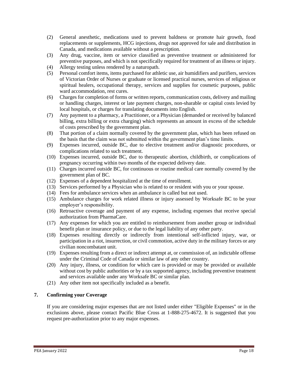- (2) General anesthetic, medications used to prevent baldness or promote hair growth, food replacements or supplements, HCG injections, drugs not approved for sale and distribution in Canada, and medications available without a prescription.
- (3) Any drug, vaccine, item or service classified as preventive treatment or administered for preventive purposes, and which is not specifically required for treatment of an illness or injury.
- (4) Allergy testing unless rendered by a naturopath.
- (5) Personal comfort items, items purchased for athletic use, air humidifiers and purifiers, services of Victorian Order of Nurses or graduate or licensed practical nurses, services of religious or spiritual healers, occupational therapy, services and supplies for cosmetic purposes, public ward accommodation, rest cures.
- (6) Charges for completion of forms or written reports, communication costs, delivery and mailing or handling charges, interest or late payment charges, non-sharable or capital costs levied by local hospitals, or charges for translating documents into English.
- (7) Any payment to a pharmacy, a Practitioner, or a Physician (demanded or received by balanced billing, extra billing or extra charging) which represents an amount in excess of the schedule of costs prescribed by the government plan.
- (8) That portion of a claim normally covered by the government plan, which has been refused on the basis that the claim was not submitted within the government plan's time limits.
- (9) Expenses incurred, outside BC, due to elective treatment and/or diagnostic procedures, or complications related to such treatment.
- (10) Expenses incurred, outside BC, due to therapeutic abortion, childbirth, or complications of pregnancy occurring within two months of the expected delivery date.
- (11) Charges incurred outside BC, for continuous or routine medical care normally covered by the government plan of BC.
- (12) Expenses of a dependent hospitalized at the time of enrollment.
- (13) Services performed by a Physician who is related to or resident with you or your spouse.
- (14) Fees for ambulance services when an ambulance is called but not used.
- (15) Ambulance charges for work related illness or injury assessed by Worksafe BC to be your employer's responsibility.
- (16) Retroactive coverage and payment of any expense, including expenses that receive special authorization from PharmaCare.
- (17) Any expenses for which you are entitled to reimbursement from another group or individual benefit plan or insurance policy, or due to the legal liability of any other party.
- (18) Expenses resulting directly or indirectly from intentional self-inflicted injury, war, or participation in a riot, insurrection, or civil commotion, active duty in the military forces or any civilian noncombatant unit.
- (19) Expenses resulting from a direct or indirect attempt at, or commission of, an indictable offense under the Criminal Code of Canada or similar law of any other country.
- (20) Any injury, illness, or condition for which care is provided or may be provided or available without cost by public authorities or by a tax supported agency, including preventive treatment and services available under any Worksafe BC or similar plan.
- (21) Any other item not specifically included as a benefit.

## **7. Confirming your Coverage**

If you are considering major expenses that are not listed under either "Eligible Expenses" or in the exclusions above, please contact Pacific Blue Cross at 1-888-275-4672. It is suggested that you request pre-authorization prior to any major expenses.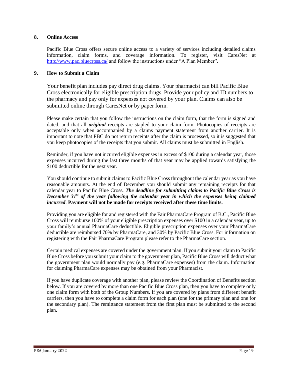## **8. Online Access**

Pacific Blue Cross offers secure online access to a variety of services including detailed claims information, claim forms, and coverage information. To register, visit CaresNet at <http://www.pac.bluecross.ca/> and follow the instructions under "A Plan Member".

## **9. How to Submit a Claim**

Your benefit plan includes pay direct drug claims. Your pharmacist can bill Pacific Blue Cross electronically for eligible prescription drugs. Provide your policy and ID numbers to the pharmacy and pay only for expenses not covered by your plan. Claims can also be submitted online through CaresNet or by paper form.

Please make certain that you follow the instructions on the claim form, that the form is signed and dated, and that all *original* receipts are stapled to your claim form. Photocopies of receipts are acceptable only when accompanied by a claims payment statement from another carrier. It is important to note that PBC do not return receipts after the claim is processed, so it is suggested that you keep photocopies of the receipts that you submit. All claims must be submitted in English.

Reminder, if you have not incurred eligible expenses in excess of \$100 during a calendar year, those expenses incurred during the last three months of that year may be applied towards satisfying the \$100 deductible for the next year.

You should continue to submit claims to Pacific Blue Cross throughout the calendar year as you have reasonable amounts. At the end of December you should submit any remaining receipts for that calendar year to Pacific Blue Cross*. The deadline for submitting claims to Pacific Blue Cross is December 31st of the year following the calendar year in which the expenses being claimed incurred*. **Payment will not be made for receipts received after these time limits.**

Providing you are eligible for and registered with the Fair PharmaCare Program of B.C., Pacific Blue Cross will reimburse 100% of your eligible prescription expenses over \$100 in a calendar year, up to your family's annual PharmaCare deductible. Eligible prescription expenses over your PharmaCare deductible are reimbursed 70% by PharmaCare, and 30% by Pacific Blue Cross. For information on registering with the Fair PharmaCare Program please refer to the PharmaCare section.

Certain medical expenses are covered under the government plan. If you submit your claim to Pacific Blue Cross before you submit your claim to the government plan, Pacific Blue Cross will deduct what the government plan would normally pay (e.g. PharmaCare expenses) from the claim. Information for claiming PharmaCare expenses may be obtained from your Pharmacist.

If you have duplicate coverage with another plan, please review the Coordination of Benefits section below. If you are covered by more than one Pacific Blue Cross plan, then you have to complete only one claim form with both of the Group Numbers. If you are covered by plans from different benefit carriers, then you have to complete a claim form for each plan (one for the primary plan and one for the secondary plan). The remittance statement from the first plan must be submitted to the second plan.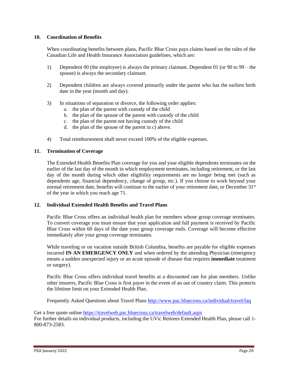## **10. Coordination of Benefits**

When coordinating benefits between plans, Pacific Blue Cross pays claims based on the rules of the Canadian Life and Health Insurance Association guidelines, which are:

- 1) Dependent 00 (the employee) is always the primary claimant. Dependent 01 (or 90 to 99 the spouse) is always the secondary claimant.
- 2) Dependent children are always covered primarily under the parent who has the earliest birth date in the year (month and day).
- 3) In situations of separation or divorce, the following order applies:
	- a. the plan of the parent with custody of the child
	- b. the plan of the spouse of the parent with custody of the child
	- c. the plan of the parent not having custody of the child
	- d. the plan of the spouse of the parent in c) above.
- 4) Total reimbursement shall never exceed 100% of the eligible expenses.

## **11. Termination of Coverage**

The Extended Health Benefits Plan coverage for you and your eligible dependents terminates on the earlier of the last day of the month in which employment terminates, including retirement, or the last day of the month during which other eligibility requirements are no longer being met (such as dependents age, financial dependency, change of group, etc.). If you choose to work beyond your normal retirement date, benefits will continue to the earlier of your retirement date, or December 31<sup>st</sup> of the year in which you reach age 71.

## **12. Individual Extended Health Benefits and Travel Plans**

Pacific Blue Cross offers an individual health plan for members whose group coverage terminates. To convert coverage you must ensure that your application and full payment is received by Pacific Blue Cross within 60 days of the date your group coverage ends. Coverage will become effective immediately after your group coverage terminates.

While traveling or on vacation outside British Columbia, benefits are payable for eligible expenses incurred **IN AN EMERGENCY ONLY** and when ordered by the attending Physician (emergency means a sudden unexpected injury or an acute episode of disease that requires **immediate** treatment or surgery).

Pacific Blue Cross offers individual travel benefits at a discounted rate for plan members. Unlike other insurers, Pacific Blue Cross is first payer in the event of an out of country claim. This protects the lifetime limit on your Extended Health Plan.

Frequently Asked Questions about Travel Plans<http://www.pac.bluecross.ca/individual/travel/faq>

Get a free quote online<https://travelweb.pac.bluecross.ca/travelweb/default.aspx> For further details on individual products, including the UVic Retirees Extended Health Plan, please call 1- 800-873-2583.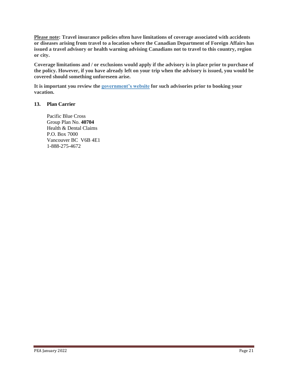**Please note: Travel insurance policies often have limitations of coverage associated with accidents or diseases arising from travel to a location where the Canadian Department of Foreign Affairs has issued a travel advisory or health warning advising Canadians not to travel to this country, region or city.**

**Coverage limitations and / or exclusions would apply if the advisory is in place prior to purchase of the policy. However, if you have already left on your trip when the advisory is issued, you would be covered should something unforeseen arise.**

**It is important you review the [government's website](http://www.voyage.gc.ca/index-eng.asp) for such advisories prior to booking your vacation.**

## **13. Plan Carrier**

Pacific Blue Cross Group Plan No. **40704** Health & Dental Claims P.O. Box 7000 Vancouver BC V6B 4E1 1-888-275-4672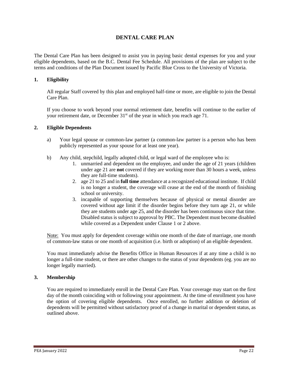## **DENTAL CARE PLAN**

The Dental Care Plan has been designed to assist you in paying basic dental expenses for you and your eligible dependents, based on the B.C. Dental Fee Schedule. All provisions of the plan are subject to the terms and conditions of the Plan Document issued by Pacific Blue Cross to the University of Victoria.

## **1. Eligibility**

All regular Staff covered by this plan and employed half-time or more, are eligible to join the Dental Care Plan.

If you choose to work beyond your normal retirement date, benefits will continue to the earlier of your retirement date, or December  $31<sup>st</sup>$  of the year in which you reach age 71.

## **2. Eligible Dependents**

- a) Your legal spouse or common-law partner (a common-law partner is a person who has been publicly represented as your spouse for at least one year).
- b) Any child, stepchild, legally adopted child, or legal ward of the employee who is:
	- 1. unmarried and dependent on the employee, and under the age of 21 years (children under age 21 are **not** covered if they are working more than 30 hours a week, unless they are full-time students).
	- 2. age 21 to 25 and in **full time** attendance at a recognized educational institute. If child is no longer a student, the coverage will cease at the end of the month of finishing school or university.
	- 3. incapable of supporting themselves because of physical or mental disorder are covered without age limit if the disorder begins before they turn age 21, or while they are students under age 25, and the disorder has been continuous since that time. Disabled status is subject to approval by PBC. The Dependent must become disabled while covered as a Dependent under Clause 1 or 2 above.

Note: You must apply for dependent coverage within one month of the date of marriage, one month of common-law status or one month of acquisition (i.e. birth or adoption) of an eligible dependent.

You must immediately advise the Benefits Office in Human Resources if at any time a child is no longer a full-time student, or there are other changes to the status of your dependents (eg. you are no longer legally married).

## **3. Membership**

You are required to immediately enroll in the Dental Care Plan. Your coverage may start on the first day of the month coinciding with or following your appointment. At the time of enrollment you have the option of covering eligible dependents. Once enrolled, no further addition or deletion of dependents will be permitted without satisfactory proof of a change in marital or dependent status, as outlined above.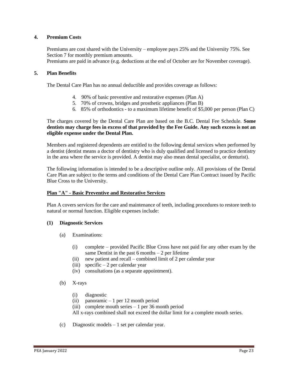## **4. Premium Costs**

Premiums are cost shared with the University – employee pays 25% and the University 75%. See Section 7 for monthly premium amounts.

Premiums are paid in advance (e.g. deductions at the end of October are for November coverage).

## **5. Plan Benefits**

The Dental Care Plan has no annual deductible and provides coverage as follows:

- 4. 90% of basic preventive and restorative expenses (Plan A)
- 5. 70% of crowns, bridges and prosthetic appliances (Plan B)
- 6. 85% of orthodontics to a maximum lifetime benefit of \$5,000 per person (Plan C)

The charges covered by the Dental Care Plan are based on the B.C. Dental Fee Schedule. **Some dentists may charge fees in excess of that provided by the Fee Guide. Any such excess is not an eligible expense under the Dental Plan.**

Members and registered dependents are entitled to the following dental services when performed by a dentist (dentist means a doctor of dentistry who is duly qualified and licensed to practice dentistry in the area where the service is provided. A dentist may also mean dental specialist, or denturist).

The following information is intended to be a descriptive outline only. All provisions of the Dental Care Plan are subject to the terms and conditions of the Dental Care Plan Contract issued by Pacific Blue Cross to the University.

## **Plan "A" - Basic Preventive and Restorative Services**

Plan A covers services for the care and maintenance of teeth, including procedures to restore teeth to natural or normal function. Eligible expenses include:

## **(1) Diagnostic Services**

- (a) Examinations:
	- (i) complete provided Pacific Blue Cross have not paid for any other exam by the same Dentist in the past  $6$  months  $-2$  per lifetime
	- (ii) new patient and recall combined limit of 2 per calendar year
	- (iii) specific  $-2$  per calendar year
	- (iv) consultations (as a separate appointment).
- (b) X-rays
	- (i) diagnostic
	- (ii) panoramic 1 per 12 month period
	- (iii) complete mouth series  $-1$  per 36 month period

All x-rays combined shall not exceed the dollar limit for a complete mouth series.

(c) Diagnostic models – 1 set per calendar year.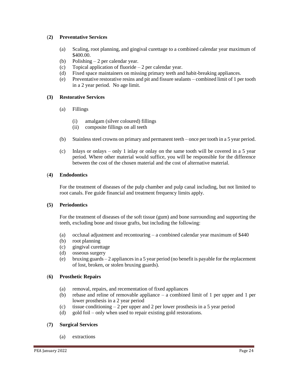## (**2) Preventative Services**

- (a) Scaling, root planning, and gingival curettage to a combined calendar year maximum of \$400.00.
- (b) Polishing 2 per calendar year.
- (c) Topical application of fluoride 2 per calendar year.
- (d) Fixed space maintainers on missing primary teeth and habit-breaking appliances.
- (e) Preventative restorative resins and pit and fissure sealants combined limit of 1 per tooth in a 2 year period. No age limit.

## **(3) Restorative Services**

- (a) Fillings
	- (i) amalgam (silver coloured) fillings
	- (ii) composite fillings on all teeth
- (b) Stainless steel crowns on primary and permanent teeth once per tooth in a 5 year period.
- (c) Inlays or onlays only 1 inlay or onlay on the same tooth will be covered in a 5 year period. Where other material would suffice, you will be responsible for the difference between the cost of the chosen material and the cost of alternative material.

## (**4) Endodontics**

For the treatment of diseases of the pulp chamber and pulp canal including, but not limited to root canals. Fee guide financial and treatment frequency limits apply.

## **(5) Periodontics**

For the treatment of diseases of the soft tissue (gum) and bone surrounding and supporting the teeth, excluding bone and tissue grafts, but including the following:

- (a) occlusal adjustment and recontouring a combined calendar year maximum of \$440
- (b) root planning
- (c) gingival curettage
- (d) osseous surgery
- (e) bruxing guards 2 appliances in a 5 year period (no benefit is payable for the replacement of lost, broken, or stolen bruxing guards).

## (**6) Prosthetic Repairs**

- (a) removal, repairs, and recementation of fixed appliances
- (b) rebase and reline of removable appliance  $-$  a combined limit of 1 per upper and 1 per lower prosthesis in a 2 year period
- (c) tissue conditioning 2 per upper and 2 per lower prosthesis in a 5 year period
- (d) gold foil only when used to repair existing gold restorations.

## (**7) Surgical Services**

(a) extractions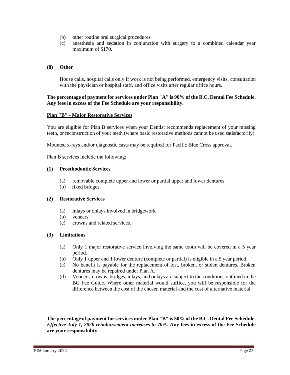- (b) other routine oral surgical procedures
- (c) anesthesia and sedation in conjunction with surgery to a combined calendar year maximum of \$170.

## **(8) Other**

House calls, hospital calls only if work is not being performed, emergency visits, consultation with the physician or hospital staff, and office visits after regular office hours.

## **The percentage of payment for services under Plan "A" is 90% of the B.C. Dental Fee Schedule. Any fees in excess of the Fee Schedule are your responsibility.**

## **Plan "B" - Major Restorative Services**

You are eligible for Plan B services when your Dentist recommends replacement of your missing teeth, or reconstruction of your teeth (where basic restorative methods cannot be used satisfactorily).

Mounted x-rays and/or diagnostic casts may be required for Pacific Blue Cross approval.

Plan B services include the following:

#### **(1) Prosthodontic Services**

- (a) removable complete upper and lower or partial upper and lower dentures
- (b) fixed bridges.

## **(2) Restorative Services**

- (a) inlays or onlays involved in bridgework
- (b) veneers
- (c) crowns and related services.

## **(3) Limitations**

- (a) Only 1 major restorative service involving the same tooth will be covered in a 5 year period.
- (b) Only 1 upper and 1 lower denture (complete or partial) is eligible in a 5 year period.
- (c) No benefit is payable for the replacement of lost, broken, or stolen dentures. Broken dentures may be repaired under Plan A.
- (d) Veneers, crowns, bridges, inlays, and onlays are subject to the conditions outlined in the BC Fee Guide. Where other material would suffice, you will be responsible for the difference between the cost of the chosen material and the cost of alternative material.

**The percentage of payment for services under Plan "B" is 50% of the B.C. Dental Fee Schedule.** *Effective July 1, 2020 reimbursement increases to 70%.* **Any fees in excess of the Fee Schedule are your responsibility**.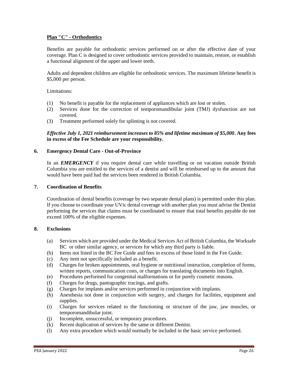## **Plan "C" - Orthodontics**

Benefits are payable for orthodontic services performed on or after the effective date of your coverage. Plan C is designed to cover orthodontic services provided to maintain, restore, or establish a functional alignment of the upper and lower teeth.

Adults and dependent children are eligible for orthodontic services. The maximum lifetime benefit is \$5,000 per person.

Limitations:

- (1) No benefit is payable for the replacement of appliances which are lost or stolen.
- (2) Services done for the correction of temporomandibular joint (TMJ) dysfunction are not covered.
- (3) Treatment performed solely for splinting is not covered.

## *Effective July 1, 2021 reimbursement increases to 85% and lifetime maximum of \$5,000***. Any fees in excess of the Fee Schedule are your responsibility.**

## **6. Emergency Dental Care - Out-of-Province**

In an *EMERGENCY* if you require dental care while travelling or on vacation outside British Columbia you are entitled to the services of a dentist and will be reimbursed up to the amount that would have been paid had the services been rendered in British Columbia.

#### **7. Coordination of Benefits**

Coordination of dental benefits (coverage by two separate dental plans) is permitted under this plan. If you choose to coordinate your UVic dental coverage with another plan you must advise the Dentist performing the services that claims must be coordinated to ensure that total benefits payable do not exceed 100% of the eligible expenses.

#### **8. Exclusions**

- (a) Services which are provided under the Medical Services Act of British Columbia, the Worksafe BC or other similar agency, or services for which any third party is liable.
- (b) Items not listed in the BC Fee Guide and fees in excess of those listed in the Fee Guide.
- (c) Any item not specifically included as a benefit.
- (d) Charges for broken appointments, oral hygiene or nutritional instruction, completion of forms, written reports, communication costs, or charges for translating documents into English.
- (e) Procedures performed for congenital malformations or for purely cosmetic reasons.
- (f) Charges for drugs, pantographic tracings, and grafts.
- (g) Charges for implants and/or services performed in conjunction with implants.
- (h) Anesthesia not done in conjunction with surgery, and charges for facilities, equipment and supplies.
- (i) Charges for services related to the functioning or structure of the jaw, jaw muscles, or temporomandibular joint.
- (j) Incomplete, unsuccessful, or temporary procedures.
- (k) Recent duplication of services by the same or different Dentist.
- (l) Any extra procedure which would normally be included in the basic service performed.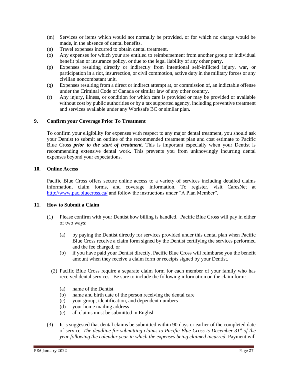- (m) Services or items which would not normally be provided, or for which no charge would be made, in the absence of dental benefits.
- (n) Travel expenses incurred to obtain dental treatment.
- (o) Any expenses for which your are entitled to reimbursement from another group or individual benefit plan or insurance policy, or due to the legal liability of any other party.
- (p) Expenses resulting directly or indirectly from intentional self-inflicted injury, war, or participation in a riot, insurrection, or civil commotion, active duty in the military forces or any civilian noncombatant unit.
- (q) Expenses resulting from a direct or indirect attempt at, or commission of, an indictable offense under the Criminal Code of Canada or similar law of any other country.
- (r) Any injury, illness, or condition for which care is provided or may be provided or available without cost by public authorities or by a tax supported agency, including preventive treatment and services available under any Worksafe BC or similar plan.

## **9. Confirm your Coverage Prior To Treatment**

To confirm your eligibility for expenses with respect to any major dental treatment, you should ask your Dentist to submit an outline of the recommended treatment plan and cost estimate to Pacific Blue Cross *prior to the start of treatment*. This is important especially when your Dentist is recommending extensive dental work. This prevents you from unknowingly incurring dental expenses beyond your expectations.

## **10. Online Access**

Pacific Blue Cross offers secure online access to a variety of services including detailed claims information, claim forms, and coverage information. To register, visit CaresNet at <http://www.pac.bluecross.ca/> and follow the instructions under "A Plan Member".

## **11. How to Submit a Claim**

- (1) Please confirm with your Dentist how billing is handled. Pacific Blue Cross will pay in either of two ways:
	- (a) by paying the Dentist directly for services provided under this dental plan when Pacific Blue Cross receive a claim form signed by the Dentist certifying the services performed and the fee charged, or
	- (b) if you have paid your Dentist directly, Pacific Blue Cross will reimburse you the benefit amount when they receive a claim form or receipts signed by your Dentist.
	- (2) Pacific Blue Cross require a separate claim form for each member of your family who has received dental services. Be sure to include the following information on the claim form:
		- (a) name of the Dentist
		- (b) name and birth date of the person receiving the dental care
		- (c) your group, identification, and dependent numbers
		- (d) your home mailing address
		- (e) all claims must be submitted in English
- (3) It is suggested that dental claims be submitted within 90 days or earlier of the completed date of service. *The deadline for submitting claims to Pacific Blue Cross is December 31st of the year following the calendar year in which the expenses being claimed incurred*. Payment will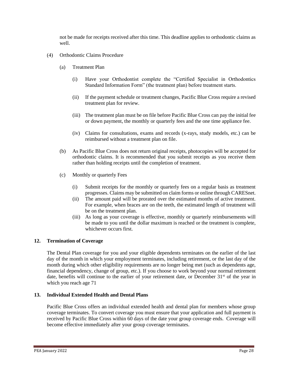not be made for receipts received after this time. This deadline applies to orthodontic claims as well.

- (4) Orthodontic Claims Procedure
	- (a) Treatment Plan
		- (i) Have your Orthodontist complete the "Certified Specialist in Orthodontics Standard Information Form" (the treatment plan) before treatment starts.
		- (ii) If the payment schedule or treatment changes, Pacific Blue Cross require a revised treatment plan for review.
		- (iii) The treatment plan must be on file before Pacific Blue Cross can pay the initial fee or down payment, the monthly or quarterly fees and the one time appliance fee.
		- (iv) Claims for consultations, exams and records (x-rays, study models, etc.) can be reimbursed without a treatment plan on file.
	- (b) As Pacific Blue Cross does not return original receipts, photocopies will be accepted for orthodontic claims. It is recommended that you submit receipts as you receive them rather than holding receipts until the completion of treatment.
	- (c) Monthly or quarterly Fees
		- (i) Submit receipts for the monthly or quarterly fees on a regular basis as treatment progresses. Claims may be submitted on claim forms or online through CARESnet.
		- (ii) The amount paid will be prorated over the estimated months of active treatment. For example, when braces are on the teeth, the estimated length of treatment will be on the treatment plan.
		- (iii) As long as your coverage is effective, monthly or quarterly reimbursements will be made to you until the dollar maximum is reached or the treatment is complete, whichever occurs first.

## **12. Termination of Coverage**

The Dental Plan coverage for you and your eligible dependents terminates on the earlier of the last day of the month in which your employment terminates, including retirement, or the last day of the month during which other eligibility requirements are no longer being met (such as dependents age, financial dependency, change of group, etc.). If you choose to work beyond your normal retirement date, benefits will continue to the earlier of your retirement date, or December  $31<sup>st</sup>$  of the year in which you reach age 71

## **13. Individual Extended Health and Dental Plans**

Pacific Blue Cross offers an individual extended health and dental plan for members whose group coverage terminates. To convert coverage you must ensure that your application and full payment is received by Pacific Blue Cross within 60 days of the date your group coverage ends. Coverage will become effective immediately after your group coverage terminates.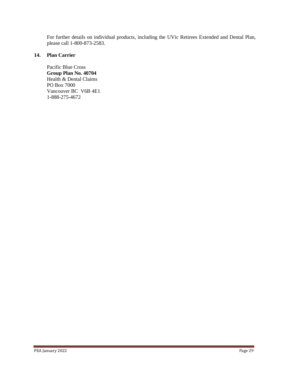For further details on individual products, including the UVic Retirees Extended and Dental Plan, please call 1-800-873-2583.

## **14. Plan Carrier**

Pacific Blue Cross **Group Plan No. 40704** Health & Dental Claims PO Box 7000 Vancouver BC V6B 4E1 1-888-275-4672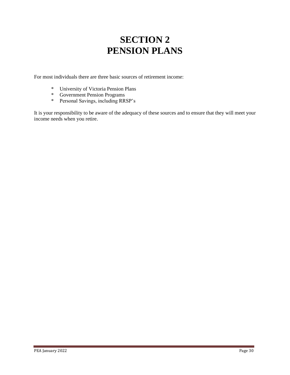## **SECTION 2 PENSION PLANS**

For most individuals there are three basic sources of retirement income:

- \* University of Victoria Pension Plans
- \* Government Pension Programs
- \* Personal Savings, including RRSP's

It is your responsibility to be aware of the adequacy of these sources and to ensure that they will meet your income needs when you retire.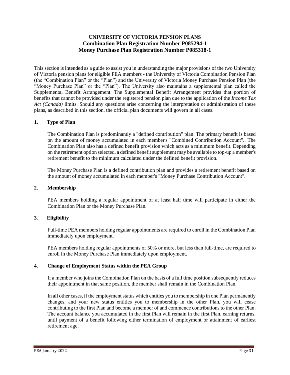## **UNIVERSITY OF VICTORIA PENSION PLANS Combination Plan Registration Number P085294-1 Money Purchase Plan Registration Number P085318-1**

This section is intended as a guide to assist you in understanding the major provisions of the two University of Victoria pension plans for eligible PEA members - the University of Victoria Combination Pension Plan (the "Combination Plan" or the "Plan") and the University of Victoria Money Purchase Pension Plan (the "Money Purchase Plan" or the "Plan"). The University also maintains a supplemental plan called the Supplemental Benefit Arrangement. The Supplemental Benefit Arrangement provides that portion of benefits that cannot be provided under the registered pension plan due to the application of the *Income Tax Act (Canada)* limits. Should any questions arise concerning the interpretation or administration of these plans, as described in this section, the official plan documents will govern in all cases.

## **1. Type of Plan**

The Combination Plan is predominantly a "defined contribution" plan. The primary benefit is based on the amount of money accumulated in each member's "Combined Contribution Account".. The Combination Plan also has a defined benefit provision which acts as a minimum benefit. Depending on the retirement option selected, a defined benefit supplement may be available to top-up a member's retirement benefit to the minimum calculated under the defined benefit provision.

The Money Purchase Plan is a defined contribution plan and provides a retirement benefit based on the amount of money accumulated in each member's "Money Purchase Contribution Account".

## **2. Membership**

PEA members holding a regular appointment of at least half time will participate in either the Combination Plan or the Money Purchase Plan.

## **3. Eligibility**

Full-time PEA members holding regular appointments are required to enroll in the Combination Plan immediately upon employment.

PEA members holding regular appointments of 50% or more, but less than full-time, are required to enroll in the Money Purchase Plan immediately upon employment.

## **4. Change of Employment Status within the PEA Group**

If a member who joins the Combination Plan on the basis of a full time position subsequently reduces their appointment in that same position, the member shall remain in the Combination Plan.

In all other cases, if the employment status which entitles you to membership in one Plan permanently changes, and your new status entitles you to membership in the other Plan, you will cease contributing to the first Plan and become a member of and commence contributions to the other Plan. The account balance you accumulated in the first Plan will remain in the first Plan, earning returns, until payment of a benefit following either termination of employment or attainment of earliest retirement age.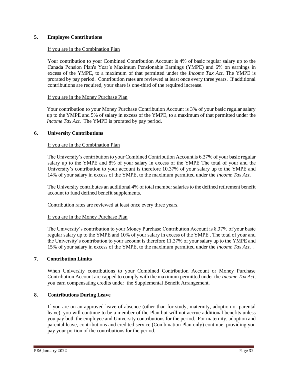## **5. Employee Contributions**

## If you are in the Combination Plan

Your contribution to your Combined Contribution Account is 4% of basic regular salary up to the Canada Pension Plan's Year's Maximum Pensionable Earnings (YMPE) and 6% on earnings in excess of the YMPE, to a maximum of that permitted under the *Income Tax Act*. The YMPE is prorated by pay period. Contribution rates are reviewed at least once every three years. If additional contributions are required, your share is one-third of the required increase.

## If you are in the Money Purchase Plan

Your contribution to your Money Purchase Contribution Account is 3% of your basic regular salary up to the YMPE and 5% of salary in excess of the YMPE, to a maximum of that permitted under the *Income Tax Act*. The YMPE is prorated by pay period.

#### **6. University Contributions**

## If you are in the Combination Plan

The University's contribution to your Combined Contribution Account is 6.37% of your basic regular salary up to the YMPE and 8% of your salary in excess of the YMPE The total of your and the University's contribution to your account is therefore 10.37% of your salary up to the YMPE and 14% of your salary in excess of the YMPE, to the maximum permitted under the *Income Tax Act*.

The University contributes an additional 4% of total member salaries to the defined retirement benefit account to fund defined benefit supplements.

Contribution rates are reviewed at least once every three years.

#### If you are in the Money Purchase Plan

The University's contribution to your Money Purchase Contribution Account is 8.37% of your basic regular salary up to the YMPE and 10% of your salary in excess of the YMPE . The total of your and the University's contribution to your account is therefore 11.37% of your salary up to the YMPE and 15% of your salary in excess of the YMPE, to the maximum permitted under the *Income Tax Act*. *.*

## **7. Contribution Limits**

When University contributions to your Combined Contribution Account or Money Purchase Contribution Account are capped to comply with the maximum permitted under the *Income Tax Act,* you earn compensating credits under the Supplemental Benefit Arrangement.

## **8. Contributions During Leave**

If you are on an approved leave of absence (other than for study, maternity, adoption or parental leave), you will continue to be a member of the Plan but will not accrue additional benefits unless you pay both the employee and University contributions for the period. For maternity, adoption and parental leave, contributions and credited service (Combination Plan only) continue, providing you pay your portion of the contributions for the period.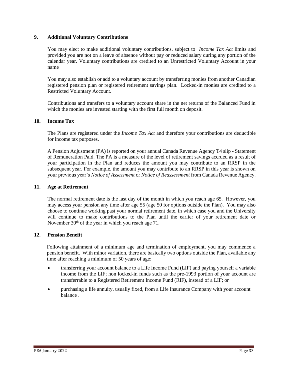## **9. Additional Voluntary Contributions**

You may elect to make additional voluntary contributions, subject to *Income Tax Act* limits and provided you are not on a leave of absence without pay or reduced salary during any portion of the calendar year. Voluntary contributions are credited to an Unrestricted Voluntary Account in your name

You may also establish or add to a voluntary account by transferring monies from another Canadian registered pension plan or registered retirement savings plan. Locked-in monies are credited to a Restricted Voluntary Account.

Contributions and transfers to a voluntary account share in the net returns of the Balanced Fund in which the monies are invested starting with the first full month on deposit.

## **10. Income Tax**

The Plans are registered under the *Income Tax Act* and therefore your contributions are deductible for income tax purposes.

A Pension Adjustment (PA) is reported on your annual Canada Revenue Agency T4 slip - Statement of Remuneration Paid. The PA is a measure of the level of retirement savings accrued as a result of your participation in the Plan and reduces the amount you may contribute to an RRSP in the subsequent year. For example, the amount you may contribute to an RRSP in this year is shown on your previous year's *Notice of Assessment* or *Notice of Reassessment* from Canada Revenue Agency.

## **11. Age at Retirement**

The normal retirement date is the last day of the month in which you reach age 65. However, you may access your pension any time after age 55 (age 50 for options outside the Plan). You may also choose to continue working past your normal retirement date, in which case you and the University will continue to make contributions to the Plan until the earlier of your retirement date or November  $30<sup>th</sup>$  of the year in which you reach age 71.

## **12. Pension Benefit**

Following attainment of a minimum age and termination of employment, you may commence a pension benefit. With minor variation, there are basically two options outside the Plan, available any time after reaching a minimum of 50 years of age:

- transferring your account balance to a Life Income Fund (LIF) and paying yourself a variable income from the LIF; non locked-in funds such as the pre-1993 portion of your account are transferrable to a Registered Retirement Income Fund (RIF), instead of a LIF; or
- purchasing a life annuity, usually fixed, from a Life Insurance Company with your account balance .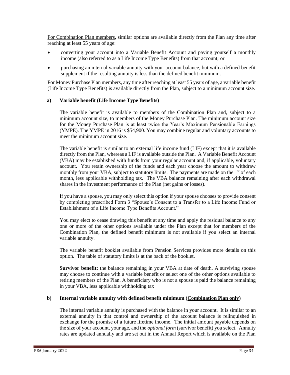For Combination Plan members, similar options are available directly from the Plan any time after reaching at least 55 years of age:

- converting your account into a Variable Benefit Account and paying yourself a monthly income (also referred to as a Life Income Type Benefits) from that account; or
- purchasing an internal variable annuity with your account balance, but with a defined benefit supplement if the resulting annuity is less than the defined benefit minimum.

For Money Purchase Plan members, any time after reaching at least 55 years of age, a variable benefit (Life Income Type Benefits) is available directly from the Plan, subject to a minimum account size.

## **a) Variable benefit (Life Income Type Benefits)**

The variable benefit is available to members of the Combination Plan and, subject to a minimum account size, to members of the Money Purchase Plan. The minimum account size for the Money Purchase Plan is at least twice the Year's Maximum Pensionable Earnings (YMPE). The YMPE in 2016 is \$54,900. You may combine regular and voluntary accounts to meet the minimum account size.

The variable benefit is similar to an external life income fund (LIF) except that it is available directly from the Plan, whereas a LIF is available outside the Plan. A Variable Benefit Account (VBA) may be established with funds from your regular account and, if applicable, voluntary account. You retain ownership of the funds and each year choose the amount to withdraw monthly from your VBA, subject to statutory limits. The payments are made on the 1<sup>st</sup> of each month, less applicable withholding tax. The VBA balance remaining after each withdrawal shares in the investment performance of the Plan (net gains or losses).

If you have a spouse, you may only select this option if your spouse chooses to provide consent by completing prescribed Form 3 "Spouse's Consent to a Transfer to a Life Income Fund or Establishment of a Life Income Type Benefits Account."

You may elect to cease drawing this benefit at any time and apply the residual balance to any one or more of the other options available under the Plan except that for members of the Combination Plan, the defined benefit minimum is not available if you select an internal variable annuity.

The variable benefit booklet available from Pension Services provides more details on this option. The table of statutory limits is at the back of the booklet.

**Survivor benefit:** the balance remaining in your VBA at date of death. A surviving spouse may choose to continue with a variable benefit or select one of the other options available to retiring members of the Plan. A beneficiary who is not a spouse is paid the balance remaining in your VBA, less applicable withholding tax

## **b) Internal variable annuity with defined benefit minimum (Combination Plan only)**

The internal variable annuity is purchased with the balance in your account. It is similar to an external annuity in that control and ownership of the account balance is relinquished in exchange for the promise of a future lifetime income. The initial amount payable depends on the size of your account, your age, and the *optional form* (survivor benefit) you select. Annuity rates are updated annually and are set out in the Annual Report which is available on the Plan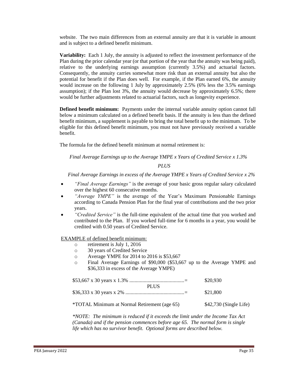website. The two main differences from an external annuity are that it is variable in amount and is subject to a defined benefit minimum.

**Variability:** Each 1 July, the annuity is adjusted to reflect the investment performance of the Plan during the prior calendar year (or that portion of the year that the annuity was being paid), relative to the underlying earnings assumption (currently 3.5%) and actuarial factors. Consequently, the annuity carries somewhat more risk than an external annuity but also the potential for benefit if the Plan does well. For example, if the Plan earned 6%, the annuity would increase on the following 1 July by approximately 2.5% (6% less the 3.5% earnings assumption); if the Plan lost 3%, the annuity would decrease by approximately 6.5%; there would be further adjustments related to actuarial factors, such as longevity experience.

**Defined benefit minimum:** Payments under the internal variable annuity option cannot fall below a minimum calculated on a defined benefit basis. If the annuity is less than the defined benefit minimum, a supplement is payable to bring the total benefit up to the minimum. To be eligible for this defined benefit minimum, you must not have previously received a variable benefit.

The formula for the defined benefit minimum at normal retirement is:

*Final Average Earnings up to the Average YMPE x Years of Credited Service x 1.3%*

#### *PLUS*

*Final Average Earnings in excess of the Average YMPE x Years of Credited Service x 2%*

- *"Final Average Earnings"* is the average of your basic gross regular salary calculated over the highest 60 consecutive months.
- "Average YMPE" is the average of the Year's Maximum Pensionable Earnings according to Canada Pension Plan for the final year of contributions and the two prior years.
- *"Credited Service"* is the full-time equivalent of the actual time that you worked and contributed to the Plan. If you worked full-time for 6 months in a year, you would be credited with 0.50 years of Credited Service.

EXAMPLE of defined benefit minimum:

- o retirement is July 1, 2016
- o 30 years of Credited Service
- o Average YMPE for 2014 to 2016 is \$53,667
- o Final Average Earnings of \$90,000 (\$53,667 up to the Average YMPE and \$36,333 in excess of the Average YMPE)

|                                                     | \$20,930                |
|-----------------------------------------------------|-------------------------|
| <b>PLUS</b>                                         | \$21,800                |
| <i>*TOTAL Minimum at Normal Retirement (age 65)</i> | $$42,730$ (Single Life) |

*\*NOTE: The minimum is reduced if it exceeds the limit under the Income Tax Act (Canada) and if the pension commences before age 65. The normal form is single life which has no survivor benefit. Optional forms are described below.*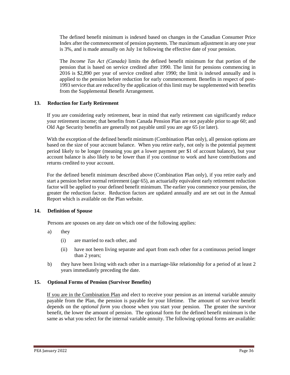The defined benefit minimum is indexed based on changes in the Canadian Consumer Price Index after the commencement of pension payments. The maximum adjustment in any one year is 3%, and is made annually on July 1st following the effective date of your pension.

The *Income Tax Act (Canada)* limits the defined benefit minimum for that portion of the pension that is based on service credited after 1990. The limit for pensions commencing in 2016 is \$2,890 per year of service credited after 1990; the limit is indexed annually and is applied to the pension before reduction for early commencement. Benefits in respect of post-1993 service that are reduced by the application of this limit may be supplemented with benefits from the Supplemental Benefit Arrangement.

## **13. Reduction for Early Retirement**

If you are considering early retirement, bear in mind that early retirement can significantly reduce your retirement income; that benefits from Canada Pension Plan are not payable prior to age 60; and Old Age Security benefits are generally not payable until you are age 65 (or later).

With the exception of the defined benefit minimum (Combination Plan only), all pension options are based on the size of your account balance. When you retire early, not only is the potential payment period likely to be longer (meaning you get a lower payment per \$1 of account balance), but your account balance is also likely to be lower than if you continue to work and have contributions and returns credited to your account.

For the defined benefit minimum described above (Combination Plan only), if you retire early and start a pension before normal retirement (age 65), an actuarially equivalent early retirement reduction factor will be applied to your defined benefit minimum. The earlier you commence your pension, the greater the reduction factor. Reduction factors are updated annually and are set out in the Annual Report which is available on the Plan website.

## **14. Definition of Spouse**

Persons are spouses on any date on which one of the following applies:

- a) they
	- (i) are married to each other, and
	- (ii) have not been living separate and apart from each other for a continuous period longer than 2 years;
- b) they have been living with each other in a marriage-like relationship for a period of at least 2 years immediately preceding the date.

## **15. Optional Forms of Pension (Survivor Benefits)**

If you are in the Combination Plan and elect to receive your pension as an internal variable annuity payable from the Plan, the pension is payable for your lifetime. The amount of survivor benefit depends on the *optional form* you choose when you start your pension. The greater the survivor benefit, the lower the amount of pension. The optional form for the defined benefit minimum is the same as what you select for the internal variable annuity. The following optional forms are available: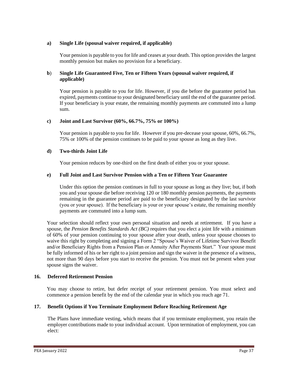## **a) Single Life (spousal waiver required, if applicable)**

Your pension is payable to you for life and ceases at your death. This option provides the largest monthly pension but makes no provision for a beneficiary.

#### **b**) **Single Life Guaranteed Five, Ten or Fifteen Years (spousal waiver required, if applicable)**

Your pension is payable to you for life. However, if you die before the guarantee period has expired, payments continue to your designated beneficiary until the end of the guarantee period. If your beneficiary is your estate, the remaining monthly payments are commuted into a lump sum.

#### **c) Joint and Last Survivor (60%, 66.7%, 75% or 100%)**

Your pension is payable to you for life. However if you pre-decease your spouse, 60%, 66.7%, 75% or 100% of the pension continues to be paid to your spouse as long as they live.

#### **d) Two-thirds Joint Life**

Your pension reduces by one-third on the first death of either you or your spouse.

#### **e) Full Joint and Last Survivor Pension with a Ten or Fifteen Year Guarantee**

Under this option the pension continues in full to your spouse as long as they live; but, if both you and your spouse die before receiving 120 or 180 monthly pension payments, the payments remaining in the guarantee period are paid to the beneficiary designated by the last survivor (you or your spouse). If the beneficiary is your or your spouse's estate, the remaining monthly payments are commuted into a lump sum.

Your selection should reflect your own personal situation and needs at retirement. If you have a spouse, the *Pension Benefits Standards Act (BC)* requires that you elect a joint life with a minimum of 60% of your pension continuing to your spouse after your death, unless your spouse chooses to waive this right by completing and signing a Form 2 "Spouse's Waiver of Lifetime Survivor Benefit and/or Beneficiary Rights from a Pension Plan or Annuity After Payments Start." Your spouse must be fully informed of his or her right to a joint pension and sign the waiver in the presence of a witness, not more than 90 days before you start to receive the pension. You must not be present when your spouse signs the waiver.

#### **16. Deferred Retirement Pension**

You may choose to retire, but defer receipt of your retirement pension. You must select and commence a pension benefit by the end of the calendar year in which you reach age 71.

#### **17. Benefit Options if You Terminate Employment Before Reaching Retirement Age**

The Plans have immediate vesting, which means that if you terminate employment, you retain the employer contributions made to your individual account. Upon termination of employment, you can elect: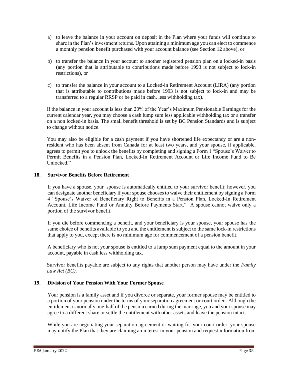- a) to leave the balance in your account on deposit in the Plan where your funds will continue to share in the Plan's investment returns. Upon attaining a minimum age you can elect to commence a monthly pension benefit purchased with your account balance (see Section 12 above), or
- b) to transfer the balance in your account to another registered pension plan on a locked-in basis (any portion that is attributable to contributions made before 1993 is not subject to lock-in restrictions), or
- c) to transfer the balance in your account to a Locked-in Retirement Account (LIRA) (any portion that is attributable to contributions made before 1993 is not subject to lock-in and may be transferred to a regular RRSP or be paid in cash, less withholding tax).

If the balance in your account is less than 20% of the Year's Maximum Pensionable Earnings for the current calendar year, you may choose a cash lump sum less applicable withholding tax or a transfer on a non locked-in basis. The small benefit threshold is set by BC Pension Standards and is subject to change without notice.

You may also be eligible for a cash payment if you have shortened life expectancy or are a nonresident who has been absent from Canada for at least two years, and your spouse, if applicable, agrees to permit you to unlock the benefits by completing and signing a Form 1 "Spouse's Waiver to Permit Benefits in a Pension Plan, Locked-In Retirement Account or Life Income Fund to Be Unlocked."

#### **18. Survivor Benefits Before Retirement**

If you have a spouse, your spouse is automatically entitled to your survivor benefit; however, you can designate another beneficiary if your spouse chooses to waive their entitlement by signing a Form 4 "Spouse's Waiver of Beneficiary Right to Benefits in a Pension Plan, Locked-In Retirement Account, Life Income Fund or Annuity Before Payments Start." A spouse cannot waive only a portion of the survivor benefit.

If you die before commencing a benefit, and your beneficiary is your spouse, your spouse has the same choice of benefits available to you and the entitlement is subject to the same lock-in restrictions that apply to you, except there is no minimum age for commencement of a pension benefit.

A beneficiary who is not your spouse is entitled to a lump sum payment equal to the amount in your account, payable in cash less withholding tax.

Survivor benefits payable are subject to any rights that another person may have under the *Family Law Act (BC)*.

## **19. Division of Your Pension With Your Former Spouse**

Your pension is a family asset and if you divorce or separate, your former spouse may be entitled to a portion of your pension under the terms of your separation agreement or court order. Although the entitlement is normally one-half of the pension earned during the marriage, you and your spouse may agree to a different share or settle the entitlement with other assets and leave the pension intact.

While you are negotiating your separation agreement or waiting for your court order, your spouse may notify the Plan that they are claiming an interest in your pension and request information from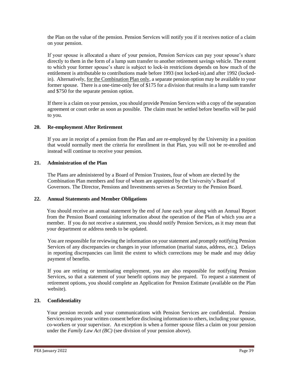the Plan on the value of the pension. Pension Services will notify you if it receives notice of a claim on your pension.

If your spouse is allocated a share of your pension, Pension Services can pay your spouse's share directly to them in the form of a lump sum transfer to another retirement savings vehicle. The extent to which your former spouse's share is subject to lock-in restrictions depends on how much of the entitlement is attributable to contributions made before 1993 (not locked-in).and after 1992 (lockedin). Alternatively, for the Combination Plan only, a separate pension option may be available to your former spouse. There is a one-time-only fee of \$175 for a division that results in a lump sum transfer and \$750 for the separate pension option.

If there is a claim on your pension, you should provide Pension Services with a copy of the separation agreement or court order as soon as possible. The claim must be settled before benefits will be paid to you.

#### **20. Re-employment After Retirement**

If you are in receipt of a pension from the Plan and are re-employed by the University in a position that would normally meet the criteria for enrollment in that Plan, you will not be re-enrolled and instead will continue to receive your pension.

#### **21. Administration of the Plan**

The Plans are administered by a Board of Pension Trustees, four of whom are elected by the Combination Plan members and four of whom are appointed by the University's Board of Governors. The Director, Pensions and Investments serves as Secretary to the Pension Board.

## **22. Annual Statements and Member Obligations**

You should receive an annual statement by the end of June each year along with an Annual Report from the Pension Board containing information about the operation of the Plan of which you are a member. If you do not receive a statement, you should notify Pension Services, as it may mean that your department or address needs to be updated.

You are responsible for reviewing the information on your statement and promptly notifying Pension Services of any discrepancies or changes in your information (marital status, address, etc.). Delays in reporting discrepancies can limit the extent to which corrections may be made and may delay payment of benefits.

If you are retiring or terminating employment, you are also responsible for notifying Pension Services, so that a statement of your benefit options may be prepared. To request a statement of retirement options, you should complete an Application for Pension Estimate (available on the Plan website).

## **23. Confidentiality**

Your pension records and your communications with Pension Services are confidential. Pension Services requires your written consent before disclosing information to others, including your spouse, co-workers or your supervisor. An exception is when a former spouse files a claim on your pension under the *Family Law Act (BC)* (see division of your pension above).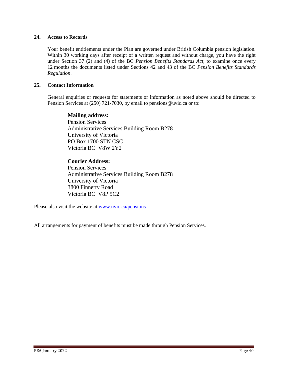#### **24. Access to Records**

Your benefit entitlements under the Plan are governed under British Columbia pension legislation. Within 30 working days after receipt of a written request and without charge, you have the right under Section 37 (2) and (4) of the BC *Pension Benefits Standards Act*, to examine once every 12 months the documents listed under Sections 42 and 43 of the BC *Pension Benefits Standards Regulation*.

## **25. Contact Information**

General enquiries or requests for statements or information as noted above should be directed to Pension Services at (250) 721-7030, by email to [pensions@uvic.ca](mailto:pensions@uvic.ca) or to:

## **Mailing address:**

Pension Services Administrative Services Building Room B278 University of Victoria PO Box 1700 STN CSC Victoria BC V8W 2Y2

## **Courier Address:**

Pension Services Administrative Services Building Room B278 University of Victoria 3800 Finnerty Road Victoria BC V8P 5C2

Please also visit the website at [www.uvic.ca/pensions](http://www.uvic.ca/pensions)

All arrangements for payment of benefits must be made through Pension Services.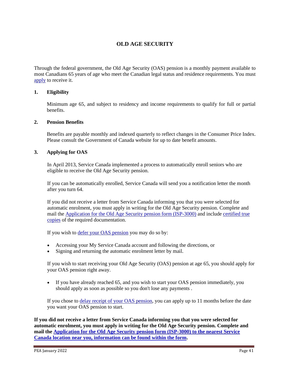## **OLD AGE SECURITY**

Through the federal government, the Old Age Security (OAS) pension is a monthly payment available to most Canadians 65 years of age who meet the Canadian legal status and residence requirements. You must [apply](http://www.esdc.gc.ca/en/cpp/oas/apply.page) to receive it.

#### **1. Eligibility**

Minimum age 65, and subject to residency and income requirements to qualify for full or partial benefits.

#### **2. Pension Benefits**

Benefits are payable monthly and indexed quarterly to reflect changes in the Consumer Price Index. Please consult the Government of Canada website for up to date benefit amounts.

#### **3. Applying for OAS**

In April 2013, Service Canada implemented a process to automatically enroll seniors who are eligible to receive the Old Age Security pension.

If you can be automatically enrolled, Service Canada will send you a notification letter the month after you turn 64.

If you did not receive a letter from Service Canada informing you that you were selected for automatic enrolment, you must apply in writing for the Old Age Security pension. Complete and mail the [Application for the Old Age Security pension form \(ISP-3000\)](http://www.servicecanada.gc.ca/cgi-bin/search/eforms/index.cgi?app=profile&form=isp3000) and include [certified true](http://www.servicecanada.gc.ca/cgi-bin/search/eforms/index.cgi?app=prfl&frm=isp1730b&ln=eng)  [copies](http://www.servicecanada.gc.ca/cgi-bin/search/eforms/index.cgi?app=prfl&frm=isp1730b&ln=eng) of the required documentation.

If you wish to [defer your OAS pension](http://www.esdc.gc.ca/en/cpp/oas/eligibility.page#h2.2) you may do so by:

- Accessing your My Service Canada account and following the directions, or
- Signing and returning the automatic enrolment letter by mail.

If you wish to start receiving your Old Age Security (OAS) pension at age 65, you should apply for your OAS pension right away.

• If you have already reached 65, and you wish to start your OAS pension immediately, you should apply as soon as possible so you don't lose any payments .

If you chose to [delay receipt of your OAS pension,](http://www.esdc.gc.ca/en/cpp/oas/eligibility.page#h2.2) you can apply up to 11 months before the date you want your OAS pension to start.

**If you did not receive a letter from Service Canada informing you that you were selected for automatic enrolment, you must apply in writing for the Old Age Security pension. Complete and mail the [Application for the Old Age Security pension form \(ISP-3000\) to the nearest Service](http://www.servicecanada.gc.ca/cgi-bin/search/eforms/index.cgi?app=profile&form=isp3000)  [Canada location near you, information can be found within the form.](http://www.servicecanada.gc.ca/cgi-bin/search/eforms/index.cgi?app=profile&form=isp3000)**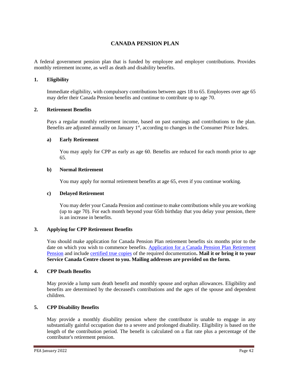## **CANADA PENSION PLAN**

A federal government pension plan that is funded by employee and employer contributions. Provides monthly retirement income, as well as death and disability benefits.

#### **1. Eligibility**

Immediate eligibility, with compulsory contributions between ages 18 to 65. Employees over age 65 may defer their Canada Pension benefits and continue to contribute up to age 70.

#### **2. Retirement Benefits**

Pays a regular monthly retirement income, based on past earnings and contributions to the plan. Benefits are adjusted annually on January 1<sup>st</sup>, according to changes in the Consumer Price Index.

#### **a) Early Retirement**

You may apply for CPP as early as age 60. Benefits are reduced for each month prior to age 65.

#### **b) Normal Retirement**

You may apply for normal retirement benefits at age 65, even if you continue working.

#### **c) Delayed Retirement**

You may defer your Canada Pension and continue to make contributions while you are working (up to age 70). For each month beyond your 65th birthday that you delay your pension, there is an increase in benefits.

#### **3. Applying for CPP Retirement Benefits**

You should make application for Canada Pension Plan retirement benefits six months prior to the date on which you wish to commence benefits. [Application for a Canada Pension Plan Retirement](http://www.servicecanada.gc.ca/cgi-bin/search/eforms/index.cgi?app=profile&form=isp1000&lang=e)  [Pension](http://www.servicecanada.gc.ca/cgi-bin/search/eforms/index.cgi?app=profile&form=isp1000&lang=e) and include [certified true copies](http://www.servicecanada.gc.ca/cgi-bin/search/eforms/index.cgi?app=prfl&frm=isp1730&ln=eng) of the required documentation**. Mail it or bring it to your Service Canada Centre closest to you. Mailing addresses are provided on the form.**

#### **4. CPP Death Benefits**

May provide a lump sum death benefit and monthly spouse and orphan allowances. Eligibility and benefits are determined by the deceased's contributions and the ages of the spouse and dependent children.

## **5. CPP Disability Benefits**

May provide a monthly disability pension where the contributor is unable to engage in any substantially gainful occupation due to a severe and prolonged disability. Eligibility is based on the length of the contribution period. The benefit is calculated on a flat rate plus a percentage of the contributor's retirement pension.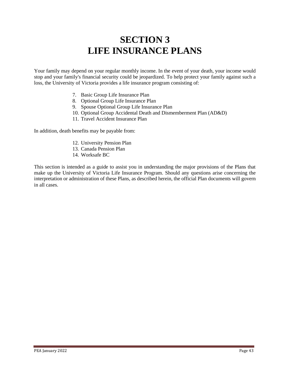## **SECTION 3 LIFE INSURANCE PLANS**

Your family may depend on your regular monthly income. In the event of your death, your income would stop and your family's financial security could be jeopardized. To help protect your family against such a loss, the University of Victoria provides a life insurance program consisting of:

- 7. Basic Group Life Insurance Plan
- 8. Optional Group Life Insurance Plan
- 9. Spouse Optional Group Life Insurance Plan
- 10. Optional Group Accidental Death and Dismemberment Plan (AD&D)
- 11. Travel Accident Insurance Plan

In addition, death benefits may be payable from:

- 12. University Pension Plan
- 13. Canada Pension Plan
- 14. Worksafe BC

This section is intended as a guide to assist you in understanding the major provisions of the Plans that make up the University of Victoria Life Insurance Program. Should any questions arise concerning the interpretation or administration of these Plans, as described herein, the official Plan documents will govern in all cases.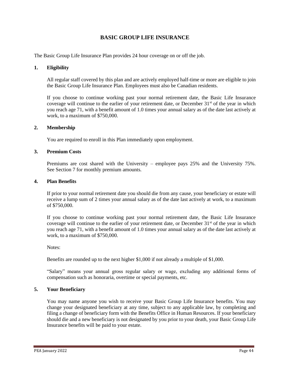## **BASIC GROUP LIFE INSURANCE**

The Basic Group Life Insurance Plan provides 24 hour coverage on or off the job.

#### **1. Eligibility**

All regular staff covered by this plan and are actively employed half-time or more are eligible to join the Basic Group Life Insurance Plan. Employees must also be Canadian residents.

If you choose to continue working past your normal retirement date, the Basic Life Insurance coverage will continue to the earlier of your retirement date, or December  $31<sup>st</sup>$  of the year in which you reach age 71, with a benefit amount of 1.0 times your annual salary as of the date last actively at work, to a maximum of \$750,000.

#### **2. Membership**

You are required to enroll in this Plan immediately upon employment.

#### **3. Premium Costs**

Premiums are cost shared with the University – employee pays 25% and the University 75%. See Section 7 for monthly premium amounts.

#### **4. Plan Benefits**

If prior to your normal retirement date you should die from any cause, your beneficiary or estate will receive a lump sum of 2 times your annual salary as of the date last actively at work, to a maximum of \$750,000.

If you choose to continue working past your normal retirement date, the Basic Life Insurance coverage will continue to the earlier of your retirement date, or December  $31<sup>st</sup>$  of the year in which you reach age 71, with a benefit amount of 1.0 times your annual salary as of the date last actively at work, to a maximum of \$750,000.

Notes:

Benefits are rounded up to the next higher \$1,000 if not already a multiple of \$1,000.

"Salary" means your annual gross regular salary or wage, excluding any additional forms of compensation such as honoraria, overtime or special payments, etc.

#### **5. Your Beneficiary**

You may name anyone you wish to receive your Basic Group Life Insurance benefits. You may change your designated beneficiary at any time, subject to any applicable law, by completing and filing a change of beneficiary form with the Benefits Office in Human Resources. If your beneficiary should die and a new beneficiary is not designated by you prior to your death, your Basic Group Life Insurance benefits will be paid to your estate.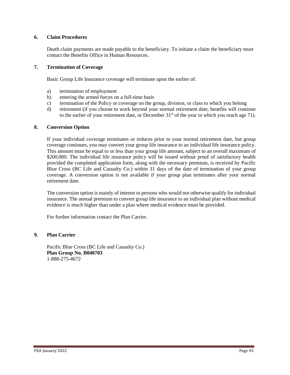#### **6. Claim Procedures**

Death claim payments are made payable to the beneficiary. To initiate a claim the beneficiary must contact the Benefits Office in Human Resources.

#### **7. Termination of Coverage**

Basic Group Life Insurance coverage will terminate upon the earlier of:

- a) termination of employment
- b) entering the armed forces on a full-time basis
- c) termination of the Policy or coverage on the group, division, or class to which you belong
- d) retirement (if you choose to work beyond your normal retirement date, benefits will continue to the earlier of your retirement date, or December  $31<sup>st</sup>$  of the year in which you reach age 71).

#### **8. Conversion Option**

If your individual coverage terminates or reduces prior to your normal retirement date, but group coverage continues, you may convert your group life insurance to an individual life insurance policy. This amount must be equal to or less than your group life amount, subject to an overall maximum of \$200,000. The individual life insurance policy will be issued without proof of satisfactory health provided the completed application form, along with the necessary premium, is received by Pacific Blue Cross (BC Life and Casualty Co.) within 31 days of the date of termination of your group coverage. A conversion option is not available if your group plan terminates after your normal retirement date.

The conversion option is mainly of interest to persons who would not otherwise qualify for individual insurance. The annual premium to convert group life insurance to an individual plan without medical evidence is much higher than under a plan where medical evidence must be provided.

For further information contact the Plan Carrier.

## **9. Plan Carrier**

Pacific Blue Cross (BC Life and Casualty Co.) **Plan Group No. B040703** 1-888-275-4672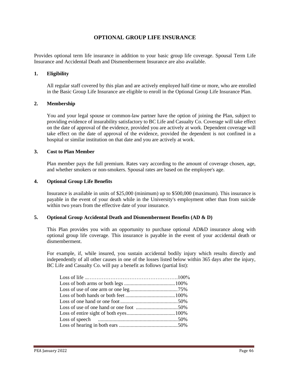## **OPTIONAL GROUP LIFE INSURANCE**

Provides optional term life insurance in addition to your basic group life coverage. Spousal Term Life Insurance and Accidental Death and Dismemberment Insurance are also available.

#### **1. Eligibility**

All regular staff covered by this plan and are actively employed half-time or more, who are enrolled in the Basic Group Life Insurance are eligible to enroll in the Optional Group Life Insurance Plan.

#### **2. Membership**

You and your legal spouse or common-law partner have the option of joining the Plan, subject to providing evidence of insurability satisfactory to BC Life and Casualty Co. Coverage will take effect on the date of approval of the evidence, provided you are actively at work. Dependent coverage will take effect on the date of approval of the evidence, provided the dependent is not confined in a hospital or similar institution on that date and you are actively at work.

#### **3. Cost to Plan Member**

Plan member pays the full premium. Rates vary according to the amount of coverage chosen, age, and whether smokers or non-smokers. Spousal rates are based on the employee's age.

#### **4. Optional Group Life Benefits**

Insurance is available in units of \$25,000 (minimum) up to \$500,000 (maximum). This insurance is payable in the event of your death while in the University's employment other than from suicide within two years from the effective date of your insurance.

#### **5. Optional Group Accidental Death and Dismemberment Benefits (AD & D)**

This Plan provides you with an opportunity to purchase optional AD&D insurance along with optional group life coverage. This insurance is payable in the event of your accidental death or dismemberment.

For example, if, while insured, you sustain accidental bodily injury which results directly and independently of all other causes in one of the losses listed below within 365 days after the injury, BC Life and Casualty Co. will pay a benefit as follows (partial list):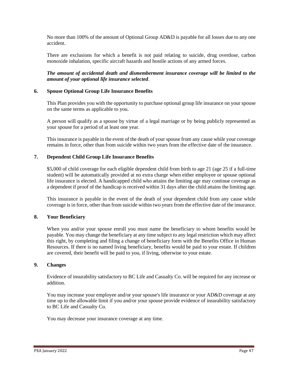No more than 100% of the amount of Optional Group AD&D is payable for all losses due to any one accident.

There are exclusions for which a benefit is not paid relating to suicide, drug overdose, carbon monoxide inhalation, specific aircraft hazards and hostile actions of any armed forces.

*The amount of accidental death and dismemberment insurance coverage will be limited to the amount of your optional life insurance selected*.

#### **6. Spouse Optional Group Life Insurance Benefits**

This Plan provides you with the opportunity to purchase optional group life insurance on your spouse on the same terms as applicable to you.

A person will qualify as a spouse by virtue of a legal marriage or by being publicly represented as your spouse for a period of at least one year.

This insurance is payable in the event of the death of your spouse from any cause while your coverage remains in force, other than from suicide within two years from the effective date of the insurance.

#### **7. Dependent Child Group Life Insurance Benefits**

\$5,000 of child coverage for each eligible dependent child from birth to age 21 (age 25 if a full-time student) will be automatically provided at no extra charge when either employee or spouse optional life insurance is elected. A handicapped child who attains the limiting age may continue coverage as a dependent if proof of the handicap is received within 31 days after the child attains the limiting age.

This insurance is payable in the event of the death of your dependent child from any cause while coverage is in force, other than from suicide within two years from the effective date of the insurance.

#### **8. Your Beneficiary**

When you and/or your spouse enroll you must name the beneficiary to whom benefits would be payable. You may change the beneficiary at any time subject to any legal restriction which may affect this right, by completing and filing a change of beneficiary form with the Benefits Office in Human Resources. If there is no named living beneficiary, benefits would be paid to your estate. If children are covered, their benefit will be paid to you, if living, otherwise to your estate.

#### **9. Changes**

Evidence of insurability satisfactory to BC Life and Casualty Co. will be required for any increase or addition.

You may increase your employee and/or your spouse's life insurance or your AD&D coverage at any time up to the allowable limit if you and/or your spouse provide evidence of insurability satisfactory to BC Life and Casualty Co.

You may decrease your insurance coverage at any time.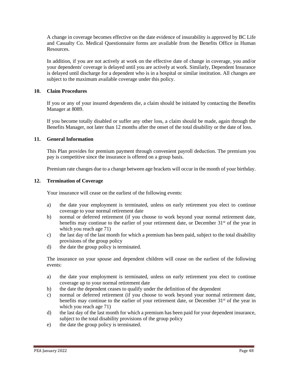A change in coverage becomes effective on the date evidence of insurability is approved by BC Life and Casualty Co. Medical Questionnaire forms are available from the Benefits Office in Human Resources.

In addition, if you are not actively at work on the effective date of change in coverage, you and/or your dependents' coverage is delayed until you are actively at work. Similarly, Dependent Insurance is delayed until discharge for a dependent who is in a hospital or similar institution. All changes are subject to the maximum available coverage under this policy.

#### **10. Claim Procedures**

If you or any of your insured dependents die, a claim should be initiated by contacting the Benefits Manager at 8089.

If you become totally disabled or suffer any other loss, a claim should be made, again through the Benefits Manager, not later than 12 months after the onset of the total disability or the date of loss.

#### **11. General Information**

This Plan provides for premium payment through convenient payroll deduction. The premium you pay is competitive since the insurance is offered on a group basis.

Premium rate changes due to a change between age brackets will occur in the month of your birthday.

#### **12. Termination of Coverage**

Your insurance will cease on the earliest of the following events:

- a) the date your employment is terminated, unless on early retirement you elect to continue coverage to your normal retirement date
- b) normal or deferred retirement (if you choose to work beyond your normal retirement date, benefits may continue to the earlier of your retirement date, or December  $31<sup>st</sup>$  of the year in which you reach age 71)
- c) the last day of the last month for which a premium has been paid, subject to the total disability provisions of the group policy
- d) the date the group policy is terminated.

The insurance on your spouse and dependent children will cease on the earliest of the following events:

- a) the date your employment is terminated, unless on early retirement you elect to continue coverage up to your normal retirement date
- b) the date the dependent ceases to qualify under the definition of the dependent
- c) normal or deferred retirement (if you choose to work beyond your normal retirement date, benefits may continue to the earlier of your retirement date, or December  $31<sup>st</sup>$  of the year in which you reach age 71)
- d) the last day of the last month for which a premium has been paid for your dependent insurance, subject to the total disability provisions of the group policy
- e) the date the group policy is terminated.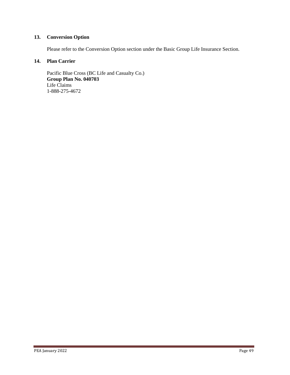## **13. Conversion Option**

Please refer to the Conversion Option section under the Basic Group Life Insurance Section.

## **14. Plan Carrier**

Pacific Blue Cross (BC Life and Casualty Co.) **Group Plan No. 040703** Life Claims 1-888-275-4672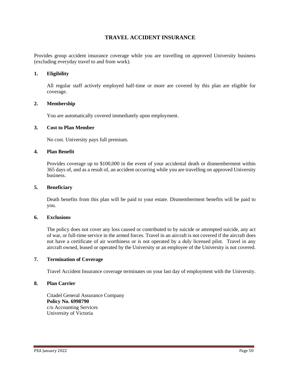## **TRAVEL ACCIDENT INSURANCE**

Provides group accident insurance coverage while you are travelling on approved University business (excluding everyday travel to and from work).

#### **1. Eligibility**

All regular staff actively employed half-time or more are covered by this plan are eligible for coverage.

#### **2. Membership**

You are automatically covered immediately upon employment.

#### **3. Cost to Plan Member**

No cost. University pays full premium.

#### **4. Plan Benefit**

Provides coverage up to \$100,000 in the event of your accidental death or dismemberment within 365 days of, and as a result of, an accident occurring while you are travelling on approved University business.

#### **5. Beneficiary**

Death benefits from this plan will be paid to your estate. Dismemberment benefits will be paid to you.

#### **6. Exclusions**

The policy does not cover any loss caused or contributed to by suicide or attempted suicide, any act of war, or full-time service in the armed forces. Travel in an aircraft is not covered if the aircraft does not have a certificate of air worthiness or is not operated by a duly licensed pilot. Travel in any aircraft owned, leased or operated by the University or an employee of the University is not covered.

#### **7. Termination of Coverage**

Travel Accident Insurance coverage terminates on your last day of employment with the University.

#### **8. Plan Carrier**

Citadel General Assurance Company **Policy No. 6998790** c/o Accounting Services University of Victoria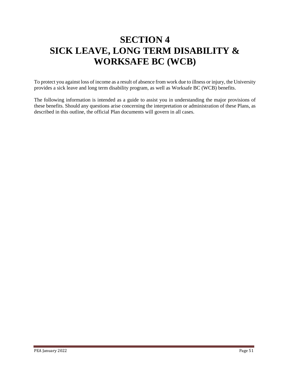# **SECTION 4 SICK LEAVE, LONG TERM DISABILITY & WORKSAFE BC (WCB)**

To protect you against loss of income as a result of absence from work due to illness or injury, the University provides a sick leave and long term disability program, as well as Worksafe BC (WCB) benefits.

The following information is intended as a guide to assist you in understanding the major provisions of these benefits. Should any questions arise concerning the interpretation or administration of these Plans, as described in this outline, the official Plan documents will govern in all cases.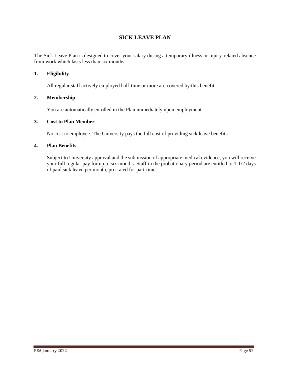## **SICK LEAVE PLAN**

The Sick Leave Plan is designed to cover your salary during a temporary illness or injury-related absence from work which lasts less than six months.

## **1. Eligibility**

All regular staff actively employed half-time or more are covered by this benefit.

#### **2. Membership**

You are automatically enrolled in the Plan immediately upon employment.

#### **3. Cost to Plan Member**

No cost to employee. The University pays the full cost of providing sick leave benefits.

#### **4. Plan Benefits**

Subject to University approval and the submission of appropriate medical evidence, you will receive your full regular pay for up to six months. Staff in the probationary period are entitled to 1-1/2 days of paid sick leave per month, pro-rated for part-time.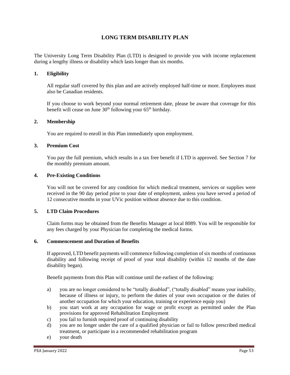## **LONG TERM DISABILITY PLAN**

The University Long Term Disability Plan (LTD) is designed to provide you with income replacement during a lengthy illness or disability which lasts longer than six months.

#### **1. Eligibility**

All regular staff covered by this plan and are actively employed half-time or more. Employees must also be Canadian residents.

If you choose to work beyond your normal retirement date, please be aware that coverage for this benefit will cease on June 30<sup>th</sup> following your 65<sup>th</sup> birthday.

#### **2. Membership**

You are required to enroll in this Plan immediately upon employment.

#### **3. Premium Cost**

You pay the full premium, which results in a tax free benefit if LTD is approved. See Section 7 for the monthly premium amount.

#### **4. Pre-Existing Conditions**

You will not be covered for any condition for which medical treatment, services or supplies were received in the 90 day period prior to your date of employment, unless you have served a period of 12 consecutive months in your UVic position without absence due to this condition.

#### **5. LTD Claim Procedures**

Claim forms may be obtained from the Benefits Manager at local 8089. You will be responsible for any fees charged by your Physician for completing the medical forms.

#### **6. Commencement and Duration of Benefits**

If approved, LTD benefit payments will commence following completion of six months of continuous disability and following receipt of proof of your total disability (within 12 months of the date disability began).

Benefit payments from this Plan will continue until the earliest of the following:

- a) you are no longer considered to be "totally disabled", ("totally disabled" means your inability, because of illness or injury, to perform the duties of your own occupation or the duties of another occupation for which your education, training or experience equip you)
- b) you start work at any occupation for wage or profit except as permitted under the Plan provisions for approved Rehabilitation Employment
- c) you fail to furnish required proof of continuing disability
- d) you are no longer under the care of a qualified physician or fail to follow prescribed medical treatment, or participate in a recommended rehabilitation program
- e) your death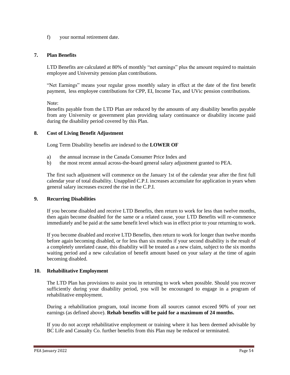f) your normal retirement date.

## **7. Plan Benefits**

LTD Benefits are calculated at 80% of monthly "net earnings" plus the amount required to maintain employee and University pension plan contributions.

"Net Earnings" means your regular gross monthly salary in effect at the date of the first benefit payment, less employee contributions for CPP, EI, Income Tax, and UVic pension contributions.

Note:

Benefits payable from the LTD Plan are reduced by the amounts of any disability benefits payable from any University or government plan providing salary continuance or disability income paid during the disability period covered by this Plan.

#### **8. Cost of Living Benefit Adjustment**

Long Term Disability benefits are indexed to the **LOWER OF**

- a) the annual increase in the Canada Consumer Price Index and
- b) the most recent annual across-the-board general salary adjustment granted to PEA.

The first such adjustment will commence on the January 1st of the calendar year after the first full calendar year of total disability. Unapplied C.P.I. increases accumulate for application in years when general salary increases exceed the rise in the C.P.I.

#### **9. Recurring Disabilities**

If you become disabled and receive LTD Benefits, then return to work for less than twelve months, then again become disabled for the same or a related cause, your LTD Benefits will re-commence immediately and be paid at the same benefit level which was in effect prior to your returning to work.

If you become disabled and receive LTD Benefits, then return to work for longer than twelve months before again becoming disabled, or for less than six months if your second disability is the result of a completely unrelated cause, this disability will be treated as a new claim, subject to the six months waiting period and a new calculation of benefit amount based on your salary at the time of again becoming disabled.

#### **10. Rehabilitative Employment**

The LTD Plan has provisions to assist you in returning to work when possible. Should you recover sufficiently during your disability period, you will be encouraged to engage in a program of rehabilitative employment.

During a rehabilitation program, total income from all sources cannot exceed 90% of your net earnings (as defined above). **Rehab benefits will be paid for a maximum of 24 months.**

If you do not accept rehabilitative employment or training where it has been deemed advisable by BC Life and Casualty Co. further benefits from this Plan may be reduced or terminated.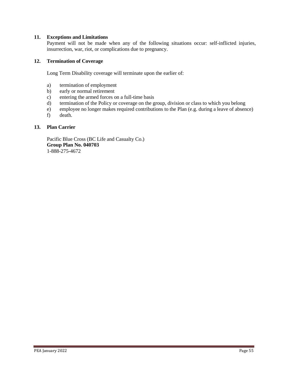#### **11. Exceptions and Limitations**

Payment will not be made when any of the following situations occur: self-inflicted injuries, insurrection, war, riot, or complications due to pregnancy.

#### **12. Termination of Coverage**

Long Term Disability coverage will terminate upon the earlier of:

- a) termination of employment
- b) early or normal retirement
- c) entering the armed forces on a full-time basis
- d) termination of the Policy or coverage on the group, division or class to which you belong
- e) employee no longer makes required contributions to the Plan (e.g. during a leave of absence)
- f) death.

#### **13. Plan Carrier**

Pacific Blue Cross (BC Life and Casualty Co.) **Group Plan No. 040703** 1-888-275-4672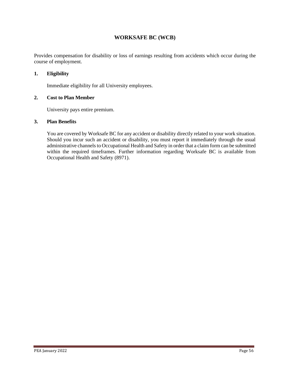## **WORKSAFE BC (WCB)**

Provides compensation for disability or loss of earnings resulting from accidents which occur during the course of employment.

## **1. Eligibility**

Immediate eligibility for all University employees.

## **2. Cost to Plan Member**

University pays entire premium.

#### **3. Plan Benefits**

You are covered by Worksafe BC for any accident or disability directly related to your work situation. Should you incur such an accident or disability, you must report it immediately through the usual administrative channels to Occupational Health and Safety in order that a claim form can be submitted within the required timeframes. Further information regarding Worksafe BC is available from Occupational Health and Safety (8971).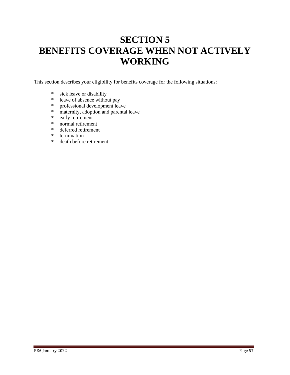# **SECTION 5 BENEFITS COVERAGE WHEN NOT ACTIVELY WORKING**

This section describes your eligibility for benefits coverage for the following situations:

- \* sick leave or disability<br>\* leave of absence without
- leave of absence without pay
- \* professional development leave
- \* maternity, adoption and parental leave
- \* early retirement<br>\* normal retirement
- normal retirement
- \* deferred retirement
- \* termination
- \* death before retirement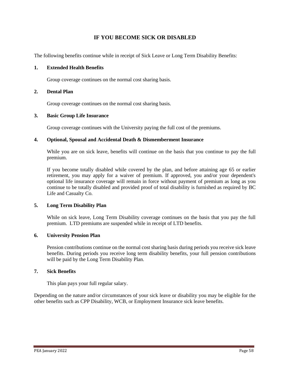## **IF YOU BECOME SICK OR DISABLED**

The following benefits continue while in receipt of Sick Leave or Long Term Disability Benefits:

#### **1. Extended Health Benefits**

Group coverage continues on the normal cost sharing basis.

#### **2. Dental Plan**

Group coverage continues on the normal cost sharing basis.

#### **3. Basic Group Life Insurance**

Group coverage continues with the University paying the full cost of the premiums.

#### **4. Optional, Spousal and Accidental Death & Dismemberment Insurance**

While you are on sick leave, benefits will continue on the basis that you continue to pay the full premium.

If you become totally disabled while covered by the plan, and before attaining age 65 or earlier retirement, you may apply for a waiver of premium. If approved, you and/or your dependent's optional life insurance coverage will remain in force without payment of premium as long as you continue to be totally disabled and provided proof of total disability is furnished as required by BC Life and Casualty Co.

#### **5. Long Term Disability Plan**

While on sick leave, Long Term Disability coverage continues on the basis that you pay the full premium. LTD premiums are suspended while in receipt of LTD benefits.

#### **6. University Pension Plan**

Pension contributions continue on the normal cost sharing basis during periods you receive sick leave benefits. During periods you receive long term disability benefits, your full pension contributions will be paid by the Long Term Disability Plan.

#### **7. Sick Benefits**

This plan pays your full regular salary.

Depending on the nature and/or circumstances of your sick leave or disability you may be eligible for the other benefits such as CPP Disability, WCB, or Employment Insurance sick leave benefits.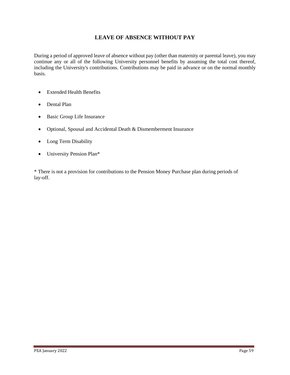## **LEAVE OF ABSENCE WITHOUT PAY**

During a period of approved leave of absence without pay (other than maternity or parental leave), you may continue any or all of the following University personnel benefits by assuming the total cost thereof, including the University's contributions. Contributions may be paid in advance or on the normal monthly basis.

- Extended Health Benefits
- Dental Plan
- Basic Group Life Insurance
- Optional, Spousal and Accidental Death & Dismemberment Insurance
- Long Term Disability
- University Pension Plan\*

\* There is not a provision for contributions to the Pension Money Purchase plan during periods of lay-off.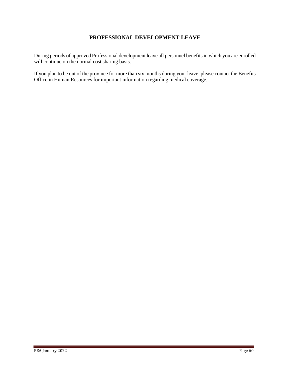## **PROFESSIONAL DEVELOPMENT LEAVE**

During periods of approved Professional development leave all personnel benefits in which you are enrolled will continue on the normal cost sharing basis.

If you plan to be out of the province for more than six months during your leave, please contact the Benefits Office in Human Resources for important information regarding medical coverage.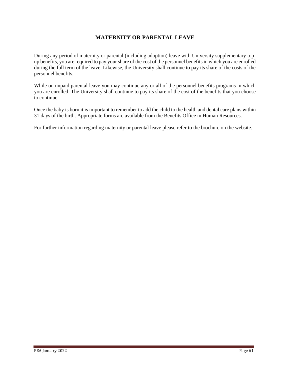## **MATERNITY OR PARENTAL LEAVE**

During any period of maternity or parental (including adoption) leave with University supplementary topup benefits, you are required to pay your share of the cost of the personnel benefits in which you are enrolled during the full term of the leave. Likewise, the University shall continue to pay its share of the costs of the personnel benefits.

While on unpaid parental leave you may continue any or all of the personnel benefits programs in which you are enrolled. The University shall continue to pay its share of the cost of the benefits that you choose to continue.

Once the baby is born it is important to remember to add the child to the health and dental care plans within 31 days of the birth. Appropriate forms are available from the Benefits Office in Human Resources.

For further information regarding maternity or parental leave please refer to the brochure on the website.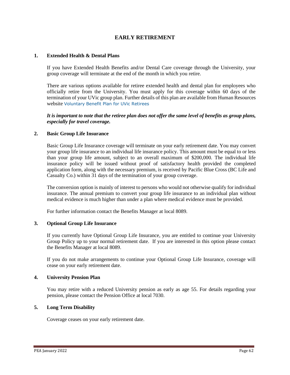## **EARLY RETIREMENT**

#### **1. Extended Health & Dental Plans**

If you have Extended Health Benefits and/or Dental Care coverage through the University, your group coverage will terminate at the end of the month in which you retire.

There are various options available for retiree extended health and dental plan for employees who officially retire from the University. You must apply for this coverage within 60 days of the termination of your UVic group plan. Further details of this plan are available from Human Resources website [Voluntary Benefit Plan for UVic Retirees](https://www.uvic.ca/hr/assets/docs/benefits/UVicRetireesBenefitPlan.pdf)

#### *It is important to note that the retiree plan does not offer the same level of benefits as group plans, especially for travel coverage.*

#### **2. Basic Group Life Insurance**

Basic Group Life Insurance coverage will terminate on your early retirement date. You may convert your group life insurance to an individual life insurance policy. This amount must be equal to or less than your group life amount, subject to an overall maximum of \$200,000. The individual life insurance policy will be issued without proof of satisfactory health provided the completed application form, along with the necessary premium, is received by Pacific Blue Cross (BC Life and Casualty Co.) within 31 days of the termination of your group coverage.

The conversion option is mainly of interest to persons who would not otherwise qualify for individual insurance. The annual premium to convert your group life insurance to an individual plan without medical evidence is much higher than under a plan where medical evidence must be provided.

For further information contact the Benefits Manager at local 8089.

#### **3. Optional Group Life Insurance**

If you currently have Optional Group Life Insurance, you are entitled to continue your University Group Policy up to your normal retirement date. If you are interested in this option please contact the Benefits Manager at local 8089.

If you do not make arrangements to continue your Optional Group Life Insurance, coverage will cease on your early retirement date.

#### **4. University Pension Plan**

You may retire with a reduced University pension as early as age 55. For details regarding your pension, please contact the Pension Office at local 7030.

#### **5. Long Term Disability**

Coverage ceases on your early retirement date.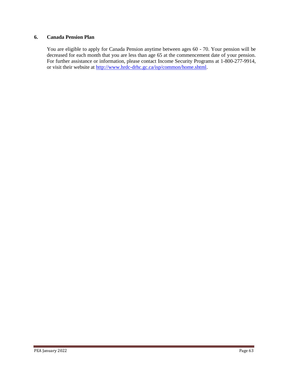#### **6. Canada Pension Plan**

You are eligible to apply for Canada Pension anytime between ages 60 - 70. Your pension will be decreased for each month that you are less than age 65 at the commencement date of your pension. For further assistance or information, please contact Income Security Programs at 1-800-277-9914, or visit their website at http://www.hrdc-drhc.gc.ca/isp/common/home.shtml.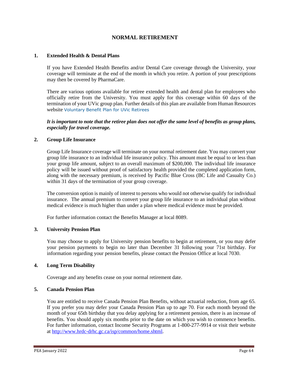## **NORMAL RETIREMENT**

#### **1. Extended Health & Dental Plans**

If you have Extended Health Benefits and/or Dental Care coverage through the University, your coverage will terminate at the end of the month in which you retire. A portion of your prescriptions may then be covered by PharmaCare.

There are various options available for retiree extended health and dental plan for employees who officially retire from the University. You must apply for this coverage within 60 days of the termination of your UVic group plan. Further details of this plan are available from Human Resources website [Voluntary Benefit Plan for UVic Retirees](https://www.uvic.ca/hr/assets/docs/benefits/UVicRetireesBenefitPlan.pdf)

*It is important to note that the retiree plan does not offer the same level of benefits as group plans, especially for travel coverage.*

#### **2. Group Life Insurance**

Group Life Insurance coverage will terminate on your normal retirement date. You may convert your group life insurance to an individual life insurance policy. This amount must be equal to or less than your group life amount, subject to an overall maximum of \$200,000. The individual life insurance policy will be issued without proof of satisfactory health provided the completed application form, along with the necessary premium, is received by Pacific Blue Cross (BC Life and Casualty Co.) within 31 days of the termination of your group coverage.

The conversion option is mainly of interest to persons who would not otherwise qualify for individual insurance. The annual premium to convert your group life insurance to an individual plan without medical evidence is much higher than under a plan where medical evidence must be provided.

For further information contact the Benefits Manager at local 8089.

#### **3. University Pension Plan**

You may choose to apply for University pension benefits to begin at retirement, or you may defer your pension payments to begin no later than December 31 following your 71st birthday. For information regarding your pension benefits, please contact the Pension Office at local 7030.

#### **4. Long Term Disability**

Coverage and any benefits cease on your normal retirement date.

#### **5. Canada Pension Plan**

You are entitled to receive Canada Pension Plan Benefits, without actuarial reduction, from age 65. If you prefer you may defer your Canada Pension Plan up to age 70. For each month beyond the month of your 65th birthday that you delay applying for a retirement pension, there is an increase of benefits. You should apply six months prior to the date on which you wish to commence benefits. For further information, contact Income Security Programs at 1-800-277-9914 or visit their website at http://www.hrdc-drhc.gc.ca/isp/common/home.shtml.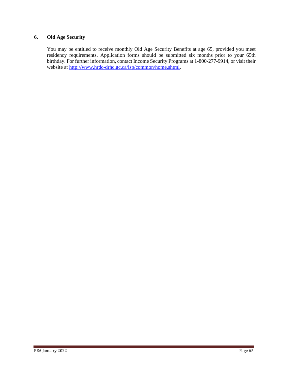## **6. Old Age Security**

You may be entitled to receive monthly Old Age Security Benefits at age 65, provided you meet residency requirements. Application forms should be submitted six months prior to your 65th birthday. For further information, contact Income Security Programs at 1-800-277-9914, or visit their website at http://www.hrdc-drhc.gc.ca/isp/common/home.shtml.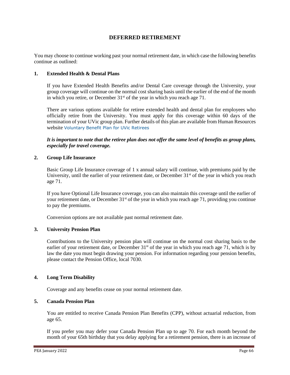## **DEFERRED RETIREMENT**

You may choose to continue working past your normal retirement date, in which case the following benefits continue as outlined:

#### **1. Extended Health & Dental Plans**

If you have Extended Health Benefits and/or Dental Care coverage through the University, your group coverage will continue on the normal cost sharing basis until the earlier of the end of the month in which you retire, or December  $31<sup>st</sup>$  of the year in which you reach age 71.

There are various options available for retiree extended health and dental plan for employees who officially retire from the University. You must apply for this coverage within 60 days of the termination of your UVic group plan. Further details of this plan are available from Human Resources website [Voluntary Benefit Plan for UVic Retirees](https://www.uvic.ca/hr/assets/docs/benefits/UVicRetireesBenefitPlan.pdf)

*It is important to note that the retiree plan does not offer the same level of benefits as group plans, especially for travel coverage.*

#### **2. Group Life Insurance**

Basic Group Life Insurance coverage of 1 x annual salary will continue, with premiums paid by the University, until the earlier of your retirement date, or December  $31<sup>st</sup>$  of the year in which you reach age 71.

If you have Optional Life Insurance coverage, you can also maintain this coverage until the earlier of your retirement date, or December 31<sup>st</sup> of the year in which you reach age 71, providing you continue to pay the premiums.

Conversion options are not available past normal retirement date.

## **3. University Pension Plan**

Contributions to the University pension plan will continue on the normal cost sharing basis to the earlier of your retirement date, or December 31<sup>st</sup> of the year in which you reach age 71, which is by law the date you must begin drawing your pension. For information regarding your pension benefits, please contact the Pension Office, local 7030.

## **4. Long Term Disability**

Coverage and any benefits cease on your normal retirement date.

#### **5. Canada Pension Plan**

You are entitled to receive Canada Pension Plan Benefits (CPP), without actuarial reduction, from age 65.

If you prefer you may defer your Canada Pension Plan up to age 70. For each month beyond the month of your 65th birthday that you delay applying for a retirement pension, there is an increase of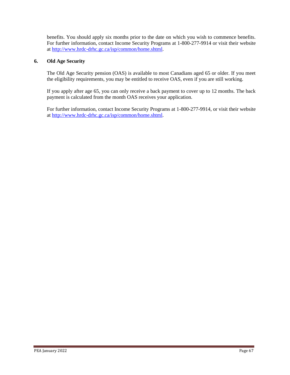benefits. You should apply six months prior to the date on which you wish to commence benefits. For further information, contact Income Security Programs at 1-800-277-9914 or visit their website at http://www.hrdc-drhc.gc.ca/isp/common/home.shtml.

#### **6. Old Age Security**

The Old Age Security pension (OAS) is available to most Canadians aged 65 or older. If you meet the eligibility requirements, you may be entitled to receive OAS, even if you are still working.

If you apply after age 65, you can only receive a back payment to cover up to 12 months. The back payment is calculated from the month OAS receives your application.

For further information, contact Income Security Programs at 1-800-277-9914, or visit their website at http://www.hrdc-drhc.gc.ca/isp/common/home.shtml.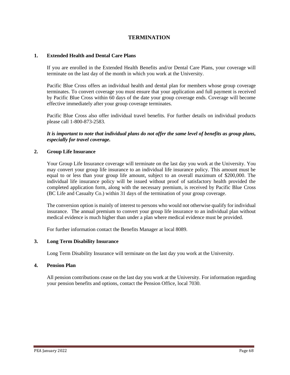## **TERMINATION**

#### **1. Extended Health and Dental Care Plans**

If you are enrolled in the Extended Health Benefits and/or Dental Care Plans, your coverage will terminate on the last day of the month in which you work at the University.

Pacific Blue Cross offers an individual health and dental plan for members whose group coverage terminates. To convert coverage you must ensure that your application and full payment is received by Pacific Blue Cross within 60 days of the date your group coverage ends. Coverage will become effective immediately after your group coverage terminates.

Pacific Blue Cross also offer individual travel benefits. For further details on individual products please call 1-800-873-2583.

*It is important to note that individual plans do not offer the same level of benefits as group plans, especially for travel coverage.*

#### **2. Group Life Insurance**

Your Group Life Insurance coverage will terminate on the last day you work at the University. You may convert your group life insurance to an individual life insurance policy. This amount must be equal to or less than your group life amount, subject to an overall maximum of \$200,000. The individual life insurance policy will be issued without proof of satisfactory health provided the completed application form, along with the necessary premium, is received by Pacific Blue Cross (BC Life and Casualty Co.) within 31 days of the termination of your group coverage.

The conversion option is mainly of interest to persons who would not otherwise qualify for individual insurance. The annual premium to convert your group life insurance to an individual plan without medical evidence is much higher than under a plan where medical evidence must be provided.

For further information contact the Benefits Manager at local 8089.

#### **3. Long Term Disability Insurance**

Long Term Disability Insurance will terminate on the last day you work at the University.

#### **4. Pension Plan**

All pension contributions cease on the last day you work at the University. For information regarding your pension benefits and options, contact the Pension Office, local 7030.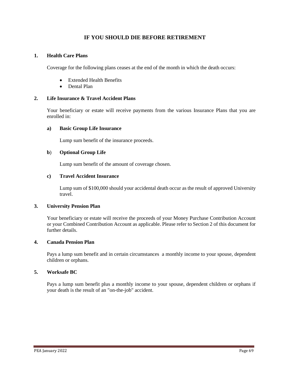## **IF YOU SHOULD DIE BEFORE RETIREMENT**

#### **1. Health Care Plans**

Coverage for the following plans ceases at the end of the month in which the death occurs:

- Extended Health Benefits
- Dental Plan

#### **2. Life Insurance & Travel Accident Plans**

Your beneficiary or estate will receive payments from the various Insurance Plans that you are enrolled in:

#### **a) Basic Group Life Insurance**

Lump sum benefit of the insurance proceeds.

#### **b**) **Optional Group Life**

Lump sum benefit of the amount of coverage chosen.

#### **c) Travel Accident Insurance**

Lump sum of \$100,000 should your accidental death occur as the result of approved University travel.

#### **3. University Pension Plan**

Your beneficiary or estate will receive the proceeds of your Money Purchase Contribution Account or your Combined Contribution Account as applicable. Please refer to Section 2 of this document for further details.

## **4. Canada Pension Plan**

Pays a lump sum benefit and in certain circumstances a monthly income to your spouse, dependent children or orphans.

#### **5. Worksafe BC**

Pays a lump sum benefit plus a monthly income to your spouse, dependent children or orphans if your death is the result of an "on-the-job" accident.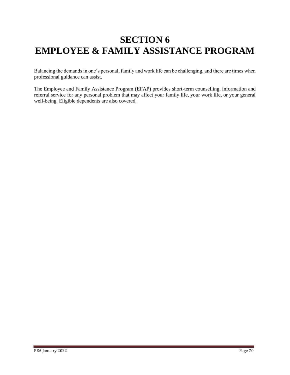# **SECTION 6 EMPLOYEE & FAMILY ASSISTANCE PROGRAM**

Balancing the demands in one's personal, family and work life can be challenging, and there are times when professional guidance can assist.

The Employee and Family Assistance Program (EFAP) provides short-term counselling, information and referral service for any personal problem that may affect your family life, your work life, or your general well-being. Eligible dependents are also covered.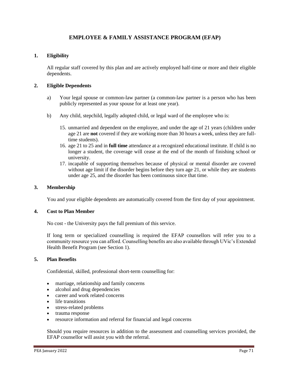## **EMPLOYEE & FAMILY ASSISTANCE PROGRAM (EFAP)**

#### **1. Eligibility**

All regular staff covered by this plan and are actively employed half-time or more and their eligible dependents.

#### **2. Eligible Dependents**

- a) Your legal spouse or common-law partner (a common-law partner is a person who has been publicly represented as your spouse for at least one year).
- b) Any child, stepchild, legally adopted child, or legal ward of the employee who is:
	- 15. unmarried and dependent on the employee, and under the age of 21 years (children under age 21 are **not** covered if they are working more than 30 hours a week, unless they are fulltime students).
	- 16. age 21 to 25 and in **full time** attendance at a recognized educational institute. If child is no longer a student, the coverage will cease at the end of the month of finishing school or university.
	- 17. incapable of supporting themselves because of physical or mental disorder are covered without age limit if the disorder begins before they turn age 21, or while they are students under age 25, and the disorder has been continuous since that time.

#### **3. Membership**

You and your eligible dependents are automatically covered from the first day of your appointment.

#### **4. Cost to Plan Member**

No cost - the University pays the full premium of this service.

If long term or specialized counselling is required the EFAP counsellors will refer you to a community resource you can afford. Counselling benefits are also available through UVic's Extended Health Benefit Program (see Section 1).

#### **5. Plan Benefits**

Confidential, skilled, professional short-term counselling for:

- marriage, relationship and family concerns
- alcohol and drug dependencies
- career and work related concerns
- life transitions
- stress-related problems
- trauma response
- resource information and referral for financial and legal concerns

Should you require resources in addition to the assessment and counselling services provided, the EFAP counsellor will assist you with the referral.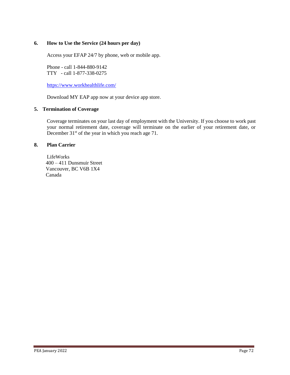#### **6. How to Use the Service (24 hours per day)**

Access your EFAP 24/7 by phone, web or mobile app.

Phone - call 1-844-880-9142 TTY - call 1-877-338-0275

<https://www.workhealthlife.com/>

Download MY EAP app now at your device app store.

#### **5. Termination of Coverage**

Coverage terminates on your last day of employment with the University. If you choose to work past your normal retirement date, coverage will terminate on the earlier of your retirement date, or December 31<sup>st</sup> of the year in which you reach age 71.

#### **8. Plan Carrier**

LifeWorks 400 – 411 Dunsmuir Street Vancouver, BC V6B 1X4 Canada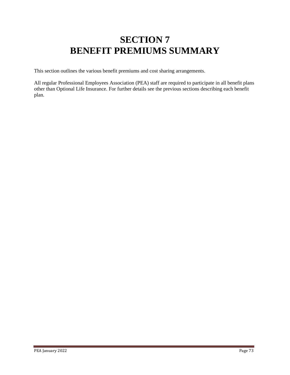## **SECTION 7 BENEFIT PREMIUMS SUMMARY**

This section outlines the various benefit premiums and cost sharing arrangements.

All regular Professional Employees Association (PEA) staff are required to participate in all benefit plans other than Optional Life Insurance. For further details see the previous sections describing each benefit plan.